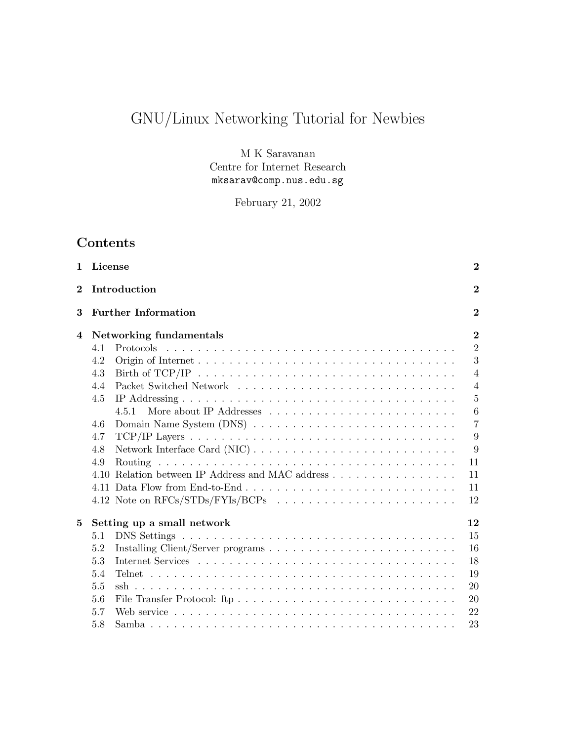# GNU/Linux Networking Tutorial for Newbies

M K Saravanan Centre for Internet Research mksarav@comp.nus.edu.sg

February 21, 2002

# Contents

| $\mathbf{1}$ | License |                                                                                                       | $\bf{2}$       |
|--------------|---------|-------------------------------------------------------------------------------------------------------|----------------|
| $\bf{2}$     |         | Introduction                                                                                          | $\overline{2}$ |
| 3            |         | <b>Further Information</b>                                                                            | $\bf{2}$       |
| 4            |         | Networking fundamentals                                                                               | $\bf{2}$       |
|              | 4.1     |                                                                                                       | $\overline{2}$ |
|              | 4.2     |                                                                                                       | 3              |
|              | 4.3     | Birth of TCP/IP $\ldots \ldots \ldots \ldots \ldots \ldots \ldots \ldots \ldots \ldots \ldots \ldots$ | $\overline{4}$ |
|              | 4.4     |                                                                                                       | $\overline{4}$ |
|              | 4.5     |                                                                                                       | $\overline{5}$ |
|              |         | 4.5.1                                                                                                 | 6              |
|              | 4.6     |                                                                                                       | $\overline{7}$ |
|              | 4.7     |                                                                                                       | 9              |
|              | 4.8     |                                                                                                       | 9              |
|              | 4.9     |                                                                                                       | 11             |
|              |         | 4.10 Relation between IP Address and MAC address                                                      | 11             |
|              |         |                                                                                                       | 11             |
|              |         |                                                                                                       | 12             |
| 5            |         | Setting up a small network                                                                            | 12             |
|              | 5.1     |                                                                                                       | 15             |
|              | 5.2     |                                                                                                       | 16             |
|              | 5.3     |                                                                                                       | 18             |
|              | 5.4     |                                                                                                       | 19             |
|              | 5.5     |                                                                                                       | 20             |
|              | 5.6     |                                                                                                       | 20             |
|              | 5.7     |                                                                                                       | 22             |
|              | 5.8     |                                                                                                       | 23             |
|              |         |                                                                                                       |                |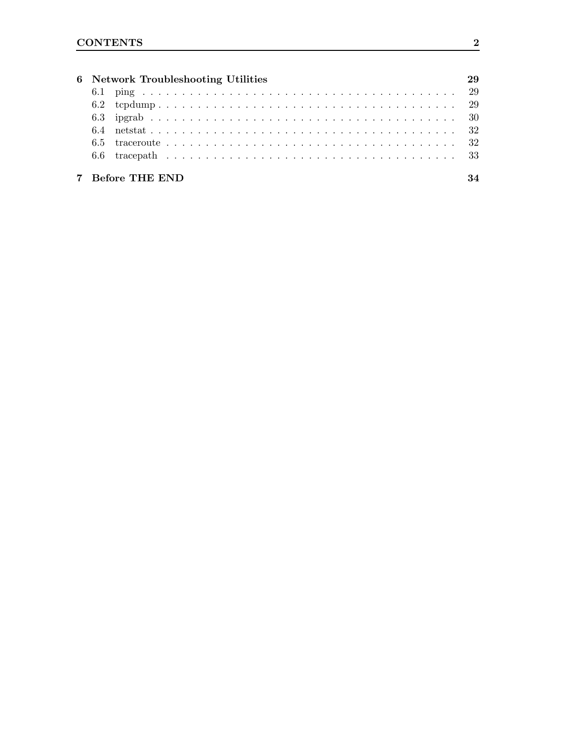|  | 6 Network Troubleshooting Utilities |  |
|--|-------------------------------------|--|
|  |                                     |  |
|  |                                     |  |
|  |                                     |  |
|  |                                     |  |
|  |                                     |  |
|  |                                     |  |
|  | 7 Before THE END                    |  |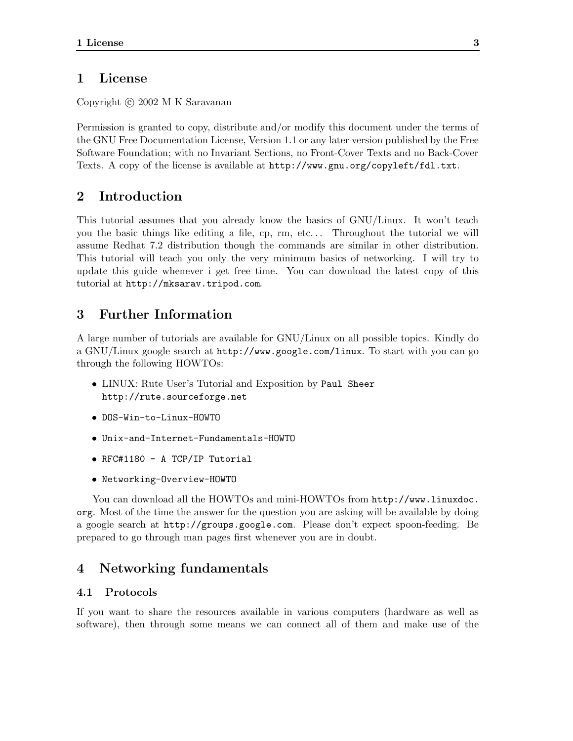# 1 License

Copyright (c) 2002 M K Saravanan

Permission is granted to copy, distribute and/or modify this document under the terms of the GNU Free Documentation License, Version 1.1 or any later version published by the Free Software Foundation; with no Invariant Sections, no Front-Cover Texts and no Back-Cover Texts. A copy of the license is available at http://www.gnu.org/copyleft/fdl.txt.

# 2 Introduction

This tutorial assumes that you already know the basics of GNU/Linux. It won't teach you the basic things like editing a file, cp, rm, etc. . . Throughout the tutorial we will assume Redhat 7.2 distribution though the commands are similar in other distribution. This tutorial will teach you only the very minimum basics of networking. I will try to update this guide whenever i get free time. You can download the latest copy of this tutorial at http://mksarav.tripod.com.

# 3 Further Information

A large number of tutorials are available for GNU/Linux on all possible topics. Kindly do a GNU/Linux google search at http://www.google.com/linux. To start with you can go through the following HOWTOs:

- LINUX: Rute User's Tutorial and Exposition by Paul Sheer http://rute.sourceforge.net
- DOS-Win-to-Linux-HOWTO
- Unix-and-Internet-Fundamentals-HOWTO
- RFC#1180 A TCP/IP Tutorial
- Networking-Overview-HOWTO

You can download all the HOWTOs and mini-HOWTOs from http://www.linuxdoc. org. Most of the time the answer for the question you are asking will be available by doing a google search at http://groups.google.com. Please don't expect spoon-feeding. Be prepared to go through man pages first whenever you are in doubt.

# 4 Networking fundamentals

# 4.1 Protocols

If you want to share the resources available in various computers (hardware as well as software), then through some means we can connect all of them and make use of the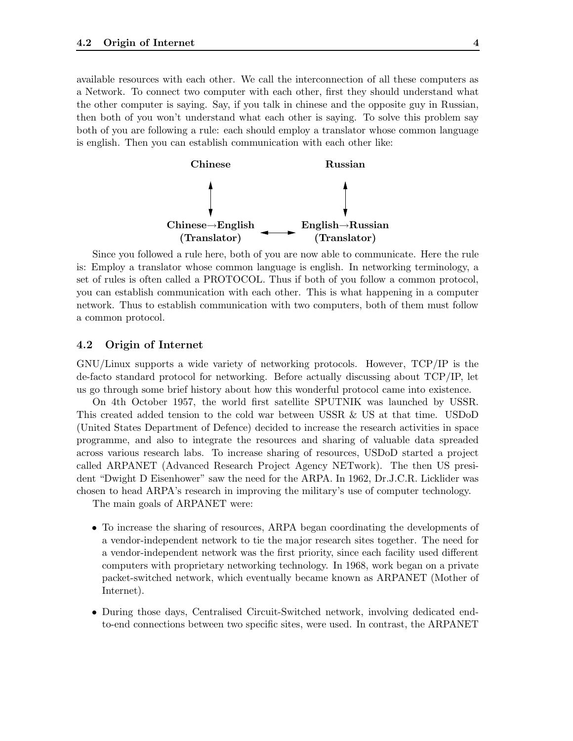available resources with each other. We call the interconnection of all these computers as a Network. To connect two computer with each other, first they should understand what the other computer is saying. Say, if you talk in chinese and the opposite guy in Russian, then both of you won't understand what each other is saying. To solve this problem say both of you are following a rule: each should employ a translator whose common language is english. Then you can establish communication with each other like:



Since you followed a rule here, both of you are now able to communicate. Here the rule is: Employ a translator whose common language is english. In networking terminology, a set of rules is often called a PROTOCOL. Thus if both of you follow a common protocol, you can establish communication with each other. This is what happening in a computer network. Thus to establish communication with two computers, both of them must follow a common protocol.

# 4.2 Origin of Internet

GNU/Linux supports a wide variety of networking protocols. However, TCP/IP is the de-facto standard protocol for networking. Before actually discussing about TCP/IP, let us go through some brief history about how this wonderful protocol came into existence.

On 4th October 1957, the world first satellite SPUTNIK was launched by USSR. This created added tension to the cold war between USSR & US at that time. USDoD (United States Department of Defence) decided to increase the research activities in space programme, and also to integrate the resources and sharing of valuable data spreaded across various research labs. To increase sharing of resources, USDoD started a project called ARPANET (Advanced Research Project Agency NETwork). The then US president "Dwight D Eisenhower" saw the need for the ARPA. In 1962, Dr.J.C.R. Licklider was chosen to head ARPA's research in improving the military's use of computer technology.

The main goals of ARPANET were:

- To increase the sharing of resources, ARPA began coordinating the developments of a vendor-independent network to tie the major research sites together. The need for a vendor-independent network was the first priority, since each facility used different computers with proprietary networking technology. In 1968, work began on a private packet-switched network, which eventually became known as ARPANET (Mother of Internet).
- During those days, Centralised Circuit-Switched network, involving dedicated endto-end connections between two specific sites, were used. In contrast, the ARPANET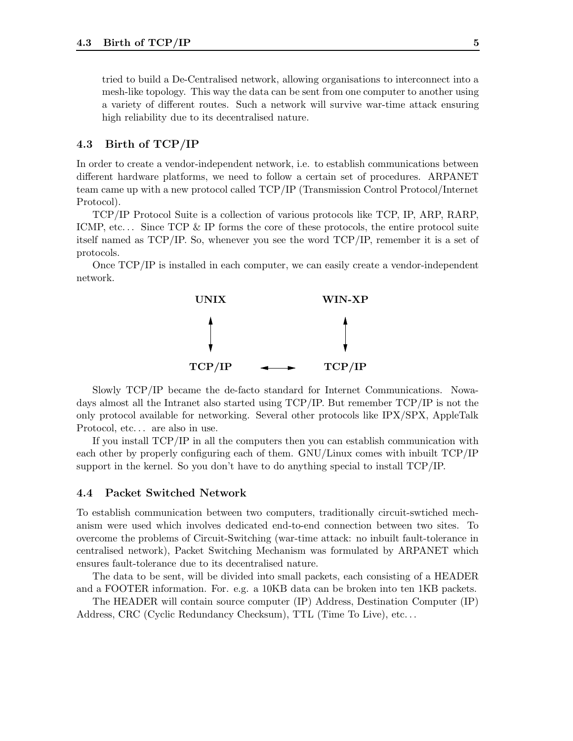tried to build a De-Centralised network, allowing organisations to interconnect into a mesh-like topology. This way the data can be sent from one computer to another using a variety of different routes. Such a network will survive war-time attack ensuring high reliability due to its decentralised nature.

# 4.3 Birth of TCP/IP

In order to create a vendor-independent network, i.e. to establish communications between different hardware platforms, we need to follow a certain set of procedures. ARPANET team came up with a new protocol called TCP/IP (Transmission Control Protocol/Internet Protocol).

TCP/IP Protocol Suite is a collection of various protocols like TCP, IP, ARP, RARP, ICMP, etc... Since TCP & IP forms the core of these protocols, the entire protocol suite itself named as TCP/IP. So, whenever you see the word TCP/IP, remember it is a set of protocols.

Once TCP/IP is installed in each computer, we can easily create a vendor-independent network.



Slowly TCP/IP became the de-facto standard for Internet Communications. Nowadays almost all the Intranet also started using TCP/IP. But remember TCP/IP is not the only protocol available for networking. Several other protocols like IPX/SPX, AppleTalk Protocol, etc. . . are also in use.

If you install TCP/IP in all the computers then you can establish communication with each other by properly configuring each of them. GNU/Linux comes with inbuilt TCP/IP support in the kernel. So you don't have to do anything special to install TCP/IP.

## 4.4 Packet Switched Network

To establish communication between two computers, traditionally circuit-swtiched mechanism were used which involves dedicated end-to-end connection between two sites. To overcome the problems of Circuit-Switching (war-time attack: no inbuilt fault-tolerance in centralised network), Packet Switching Mechanism was formulated by ARPANET which ensures fault-tolerance due to its decentralised nature.

The data to be sent, will be divided into small packets, each consisting of a HEADER and a FOOTER information. For. e.g. a 10KB data can be broken into ten 1KB packets.

The HEADER will contain source computer (IP) Address, Destination Computer (IP) Address, CRC (Cyclic Redundancy Checksum), TTL (Time To Live), etc. . .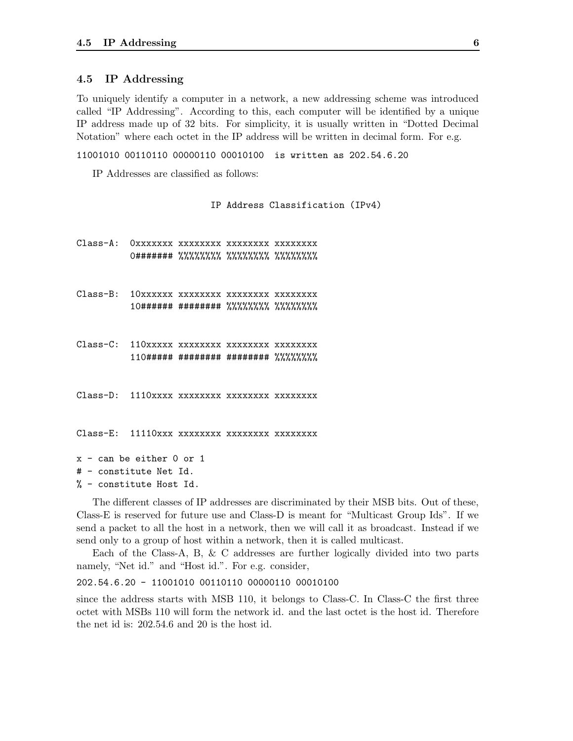## 4.5 IP Addressing

To uniquely identify a computer in a network, a new addressing scheme was introduced called "IP Addressing". According to this, each computer will be identified by a unique IP address made up of 32 bits. For simplicity, it is usually written in "Dotted Decimal Notation" where each octet in the IP address will be written in decimal form. For e.g.

11001010 00110110 00000110 00010100 is written as 202.54.6.20

IP Addresses are classified as follows:

IP Address Classification (IPv4)

Class-A: 0xxxxxxx xxxxxxxx xxxxxxxx xxxxxxxx 0####### %%%%%%%% %%%%%%%% %%%%%%%% Class-B: 10xxxxxx xxxxxxxx xxxxxxxx xxxxxxxx 10###### ######## %%%%%%%% %%%%%%%% Class-C: 110xxxxx xxxxxxxx xxxxxxxx xxxxxxxx 110##### ######## ######## %%%%%%%% Class-D: 1110xxxx xxxxxxxx xxxxxxxx xxxxxxxx Class-E: 11110xxx xxxxxxxx xxxxxxxx xxxxxxxx x - can be either 0 or 1 # - constitute Net Id. % - constitute Host Id.

The different classes of IP addresses are discriminated by their MSB bits. Out of these, Class-E is reserved for future use and Class-D is meant for "Multicast Group Ids". If we send a packet to all the host in a network, then we will call it as broadcast. Instead if we send only to a group of host within a network, then it is called multicast.

Each of the Class-A, B, & C addresses are further logically divided into two parts namely, "Net id." and "Host id.". For e.g. consider,

#### 202.54.6.20 - 11001010 00110110 00000110 00010100

since the address starts with MSB 110, it belongs to Class-C. In Class-C the first three octet with MSBs 110 will form the network id. and the last octet is the host id. Therefore the net id is: 202.54.6 and 20 is the host id.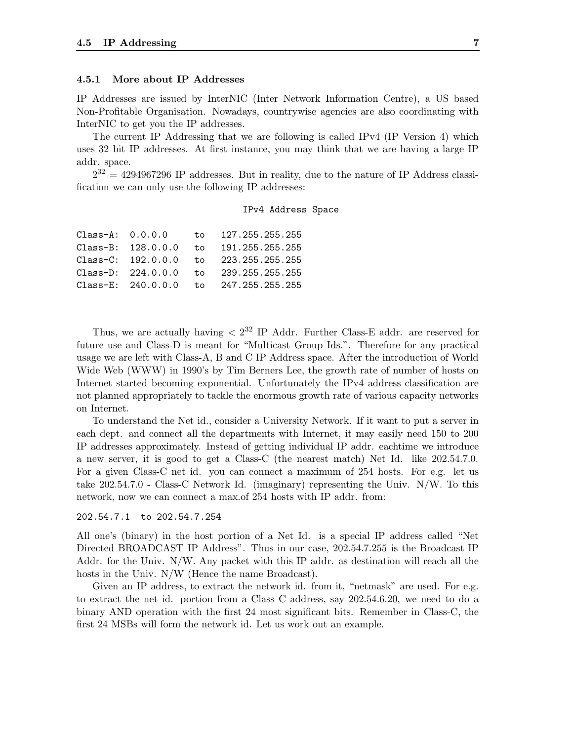#### 4.5.1 More about IP Addresses

IP Addresses are issued by InterNIC (Inter Network Information Centre), a US based Non-Profitable Organisation. Nowadays, countrywise agencies are also coordinating with InterNIC to get you the IP addresses.

The current IP Addressing that we are following is called IPv4 (IP Version 4) which uses 32 bit IP addresses. At first instance, you may think that we are having a large IP addr. space.

 $2^{32} = 4294967296$  IP addresses. But in reality, due to the nature of IP Address classification we can only use the following IP addresses:

#### IPv4 Address Space

| $Class-A: 0.0.0.0$ |  | to 127.255.255.255                        |
|--------------------|--|-------------------------------------------|
|                    |  | Class-B: 128.0.0.0 to 191.255.255.255     |
|                    |  | Class-C: 192.0.0.0 to 223.255.255.255     |
|                    |  | Class-D: $224.0.0.0$ to $239.255.255.255$ |
|                    |  | Class-E: 240.0.0.0 to 247.255.255.255     |

Thus, we are actually having  $\langle 2^{32} \rangle$  IP Addr. Further Class-E addr. are reserved for future use and Class-D is meant for "Multicast Group Ids.". Therefore for any practical usage we are left with Class-A, B and C IP Address space. After the introduction of World Wide Web (WWW) in 1990's by Tim Berners Lee, the growth rate of number of hosts on Internet started becoming exponential. Unfortunately the IPv4 address classification are not planned appropriately to tackle the enormous growth rate of various capacity networks on Internet.

To understand the Net id., consider a University Network. If it want to put a server in each dept. and connect all the departments with Internet, it may easily need 150 to 200 IP addresses approximately. Instead of getting individual IP addr. eachtime we introduce a new server, it is good to get a Class-C (the nearest match) Net Id. like 202.54.7.0. For a given Class-C net id. you can connect a maximum of 254 hosts. For e.g. let us take 202.54.7.0 - Class-C Network Id. (imaginary) representing the Univ. N/W. To this network, now we can connect a max.of 254 hosts with IP addr. from:

#### 202.54.7.1 to 202.54.7.254

All one's (binary) in the host portion of a Net Id. is a special IP address called "Net Directed BROADCAST IP Address". Thus in our case, 202.54.7.255 is the Broadcast IP Addr. for the Univ. N/W. Any packet with this IP addr. as destination will reach all the hosts in the Univ. N/W (Hence the name Broadcast).

Given an IP address, to extract the network id. from it, "netmask" are used. For e.g. to extract the net id. portion from a Class C address, say 202.54.6.20, we need to do a binary AND operation with the first 24 most significant bits. Remember in Class-C, the first 24 MSBs will form the network id. Let us work out an example.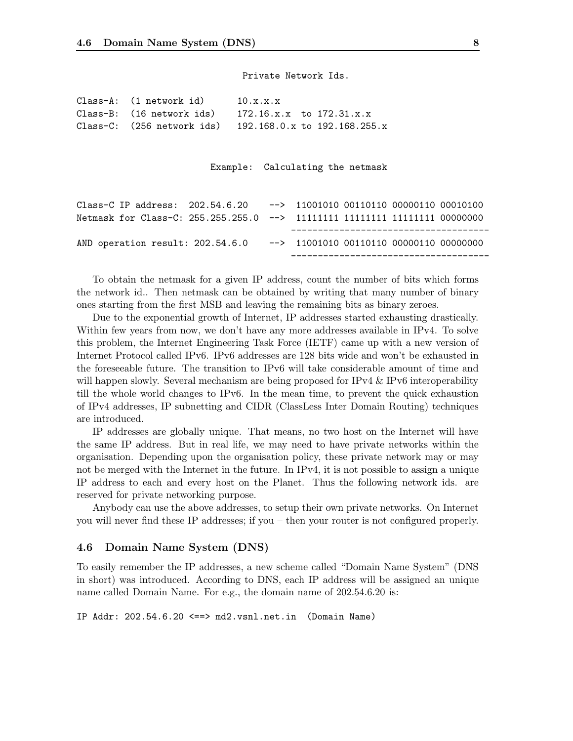Private Network Ids.

| Class-A: (1 network id)                                       | 10.x.x.x |  |
|---------------------------------------------------------------|----------|--|
| Class-B: $(16$ network ids) $172.16.x.x$ to $172.31.x.x$      |          |  |
| Class-C: $(256$ network ids) $192.168.0.x$ to $192.168.255.x$ |          |  |

Example: Calculating the netmask

| Class-C IP address: $202.54.6.20$ --> 11001010 00110110 00000110 00010100  |  |                                                  |  |  |
|----------------------------------------------------------------------------|--|--------------------------------------------------|--|--|
| Netmask for Class-C: 255.255.255.0 --> 11111111 11111111 11111111 00000000 |  |                                                  |  |  |
|                                                                            |  |                                                  |  |  |
|                                                                            |  |                                                  |  |  |
| AND operation result: 202.54.6.0                                           |  | $\leftarrow$ 11001010 00110110 00000110 00000000 |  |  |

To obtain the netmask for a given IP address, count the number of bits which forms the network id.. Then netmask can be obtained by writing that many number of binary ones starting from the first MSB and leaving the remaining bits as binary zeroes.

Due to the exponential growth of Internet, IP addresses started exhausting drastically. Within few years from now, we don't have any more addresses available in IPv4. To solve this problem, the Internet Engineering Task Force (IETF) came up with a new version of Internet Protocol called IPv6. IPv6 addresses are 128 bits wide and won't be exhausted in the foreseeable future. The transition to IPv6 will take considerable amount of time and will happen slowly. Several mechanism are being proposed for IPv4 & IPv6 interoperability till the whole world changes to IPv6. In the mean time, to prevent the quick exhaustion of IPv4 addresses, IP subnetting and CIDR (ClassLess Inter Domain Routing) techniques are introduced.

IP addresses are globally unique. That means, no two host on the Internet will have the same IP address. But in real life, we may need to have private networks within the organisation. Depending upon the organisation policy, these private network may or may not be merged with the Internet in the future. In IPv4, it is not possible to assign a unique IP address to each and every host on the Planet. Thus the following network ids. are reserved for private networking purpose.

Anybody can use the above addresses, to setup their own private networks. On Internet you will never find these IP addresses; if you – then your router is not configured properly.

#### 4.6 Domain Name System (DNS)

To easily remember the IP addresses, a new scheme called "Domain Name System" (DNS in short) was introduced. According to DNS, each IP address will be assigned an unique name called Domain Name. For e.g., the domain name of 202.54.6.20 is:

IP Addr: 202.54.6.20 <==> md2.vsnl.net.in (Domain Name)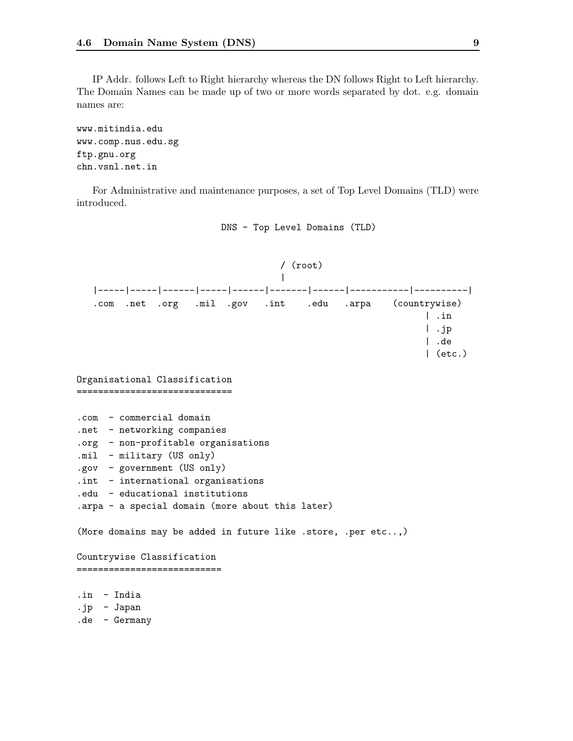IP Addr. follows Left to Right hierarchy whereas the DN follows Right to Left hierarchy. The Domain Names can be made up of two or more words separated by dot. e.g. domain names are:

www.mitindia.edu www.comp.nus.edu.sg ftp.gnu.org chn.vsnl.net.in

For Administrative and maintenance purposes, a set of Top Level Domains (TLD) were introduced.



DNS - Top Level Domains (TLD)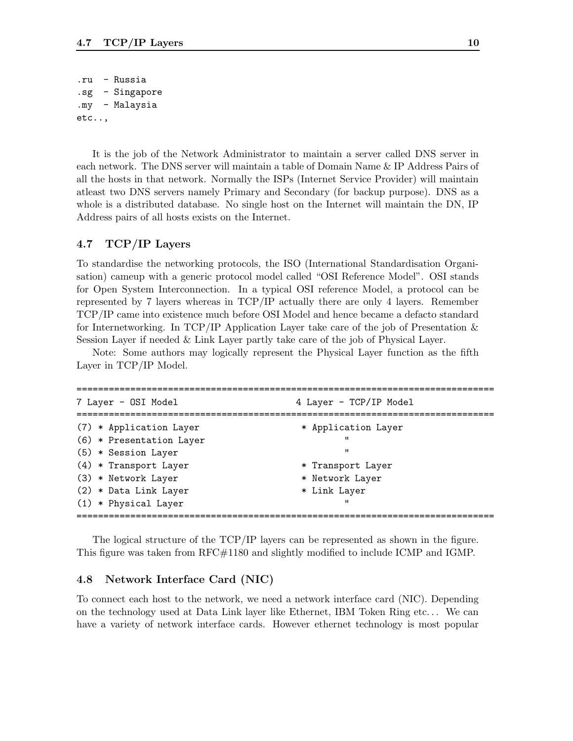.ru - Russia .sg - Singapore .my - Malaysia etc..,

It is the job of the Network Administrator to maintain a server called DNS server in each network. The DNS server will maintain a table of Domain Name & IP Address Pairs of all the hosts in that network. Normally the ISPs (Internet Service Provider) will maintain atleast two DNS servers namely Primary and Secondary (for backup purpose). DNS as a whole is a distributed database. No single host on the Internet will maintain the DN, IP Address pairs of all hosts exists on the Internet.

# 4.7 TCP/IP Layers

To standardise the networking protocols, the ISO (International Standardisation Organisation) cameup with a generic protocol model called "OSI Reference Model". OSI stands for Open System Interconnection. In a typical OSI reference Model, a protocol can be represented by 7 layers whereas in TCP/IP actually there are only 4 layers. Remember TCP/IP came into existence much before OSI Model and hence became a defacto standard for Internetworking. In TCP/IP Application Layer take care of the job of Presentation  $\&$ Session Layer if needed & Link Layer partly take care of the job of Physical Layer.

Note: Some authors may logically represent the Physical Layer function as the fifth Layer in TCP/IP Model.

| 7 Layer - OSI Model      | 4 Layer - TCP/IP Model |  |
|--------------------------|------------------------|--|
| (7) * Application Layer  | * Application Layer    |  |
| (6) * Presentation Layer | "                      |  |
| (5) * Session Layer      | $^{\prime\prime}$      |  |
| $(4)$ * Transport Layer  | * Transport Layer      |  |
| (3) * Network Layer      | * Network Layer        |  |
| (2) * Data Link Layer    | * Link Layer           |  |
| $(1)$ * Physical Layer   | $^{\prime\prime}$      |  |

The logical structure of the TCP/IP layers can be represented as shown in the figure. This figure was taken from RFC#1180 and slightly modified to include ICMP and IGMP.

#### 4.8 Network Interface Card (NIC)

To connect each host to the network, we need a network interface card (NIC). Depending on the technology used at Data Link layer like Ethernet, IBM Token Ring etc. . . We can have a variety of network interface cards. However ethernet technology is most popular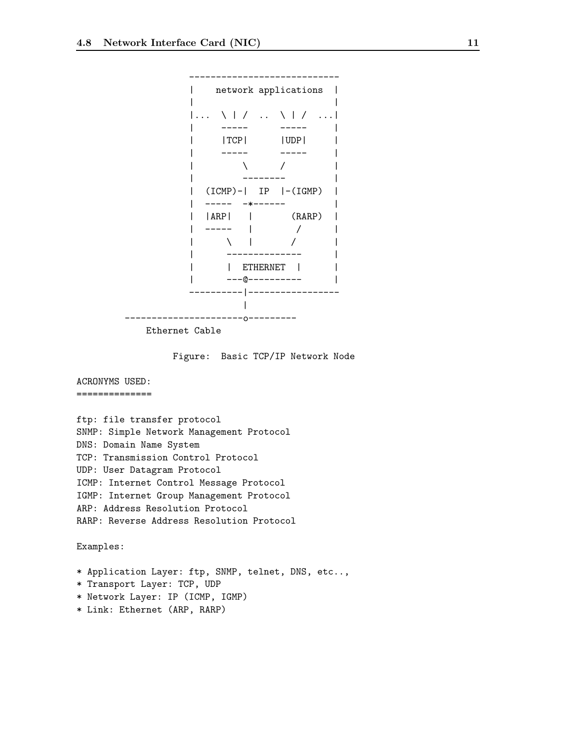

----------------------------

Ethernet Cable

Figure: Basic TCP/IP Network Node

# ACRONYMS USED:

==============

ftp: file transfer protocol SNMP: Simple Network Management Protocol DNS: Domain Name System TCP: Transmission Control Protocol UDP: User Datagram Protocol ICMP: Internet Control Message Protocol IGMP: Internet Group Management Protocol ARP: Address Resolution Protocol RARP: Reverse Address Resolution Protocol

Examples:

\* Application Layer: ftp, SNMP, telnet, DNS, etc..,

- \* Transport Layer: TCP, UDP
- \* Network Layer: IP (ICMP, IGMP)
- \* Link: Ethernet (ARP, RARP)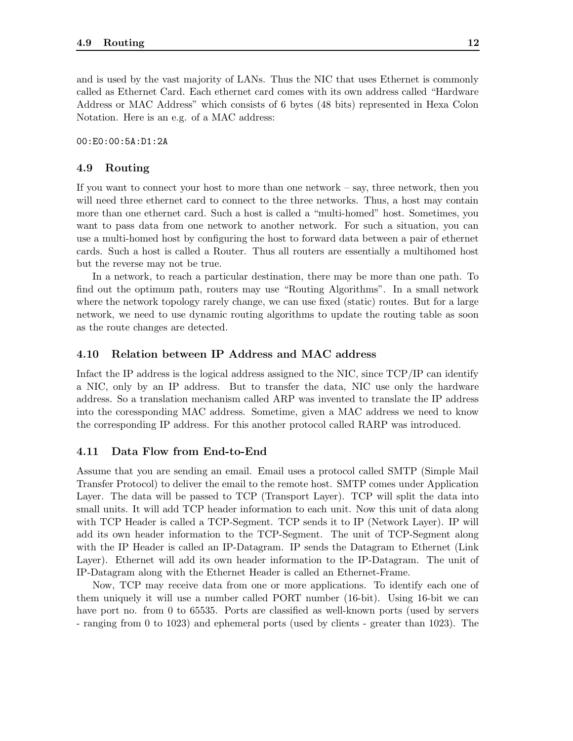and is used by the vast majority of LANs. Thus the NIC that uses Ethernet is commonly called as Ethernet Card. Each ethernet card comes with its own address called "Hardware Address or MAC Address" which consists of 6 bytes (48 bits) represented in Hexa Colon Notation. Here is an e.g. of a MAC address:

00:E0:00:5A:D1:2A

# 4.9 Routing

If you want to connect your host to more than one network – say, three network, then you will need three ethernet card to connect to the three networks. Thus, a host may contain more than one ethernet card. Such a host is called a "multi-homed" host. Sometimes, you want to pass data from one network to another network. For such a situation, you can use a multi-homed host by configuring the host to forward data between a pair of ethernet cards. Such a host is called a Router. Thus all routers are essentially a multihomed host but the reverse may not be true.

In a network, to reach a particular destination, there may be more than one path. To find out the optimum path, routers may use "Routing Algorithms". In a small network where the network topology rarely change, we can use fixed (static) routes. But for a large network, we need to use dynamic routing algorithms to update the routing table as soon as the route changes are detected.

# 4.10 Relation between IP Address and MAC address

Infact the IP address is the logical address assigned to the NIC, since TCP/IP can identify a NIC, only by an IP address. But to transfer the data, NIC use only the hardware address. So a translation mechanism called ARP was invented to translate the IP address into the coressponding MAC address. Sometime, given a MAC address we need to know the corresponding IP address. For this another protocol called RARP was introduced.

#### 4.11 Data Flow from End-to-End

Assume that you are sending an email. Email uses a protocol called SMTP (Simple Mail Transfer Protocol) to deliver the email to the remote host. SMTP comes under Application Layer. The data will be passed to TCP (Transport Layer). TCP will split the data into small units. It will add TCP header information to each unit. Now this unit of data along with TCP Header is called a TCP-Segment. TCP sends it to IP (Network Layer). IP will add its own header information to the TCP-Segment. The unit of TCP-Segment along with the IP Header is called an IP-Datagram. IP sends the Datagram to Ethernet (Link Layer). Ethernet will add its own header information to the IP-Datagram. The unit of IP-Datagram along with the Ethernet Header is called an Ethernet-Frame.

Now, TCP may receive data from one or more applications. To identify each one of them uniquely it will use a number called PORT number (16-bit). Using 16-bit we can have port no. from 0 to 65535. Ports are classified as well-known ports (used by servers - ranging from 0 to 1023) and ephemeral ports (used by clients - greater than 1023). The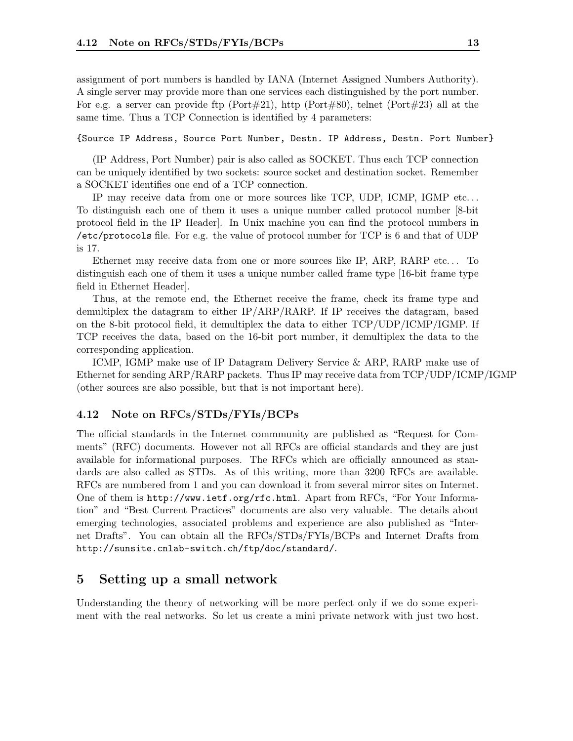assignment of port numbers is handled by IANA (Internet Assigned Numbers Authority). A single server may provide more than one services each distinguished by the port number. For e.g. a server can provide ftp (Port#21), http (Port#80), telnet (Port#23) all at the same time. Thus a TCP Connection is identified by 4 parameters:

#### {Source IP Address, Source Port Number, Destn. IP Address, Destn. Port Number}

(IP Address, Port Number) pair is also called as SOCKET. Thus each TCP connection can be uniquely identified by two sockets: source socket and destination socket. Remember a SOCKET identifies one end of a TCP connection.

IP may receive data from one or more sources like TCP, UDP, ICMP, IGMP etc. . . To distinguish each one of them it uses a unique number called protocol number [8-bit protocol field in the IP Header]. In Unix machine you can find the protocol numbers in /etc/protocols file. For e.g. the value of protocol number for TCP is 6 and that of UDP is 17.

Ethernet may receive data from one or more sources like IP, ARP, RARP etc. . . To distinguish each one of them it uses a unique number called frame type [16-bit frame type field in Ethernet Header].

Thus, at the remote end, the Ethernet receive the frame, check its frame type and demultiplex the datagram to either IP/ARP/RARP. If IP receives the datagram, based on the 8-bit protocol field, it demultiplex the data to either TCP/UDP/ICMP/IGMP. If TCP receives the data, based on the 16-bit port number, it demultiplex the data to the corresponding application.

ICMP, IGMP make use of IP Datagram Delivery Service & ARP, RARP make use of Ethernet for sending ARP/RARP packets. Thus IP may receive data from TCP/UDP/ICMP/IGMP (other sources are also possible, but that is not important here).

# 4.12 Note on RFCs/STDs/FYIs/BCPs

The official standards in the Internet commmunity are published as "Request for Comments" (RFC) documents. However not all RFCs are official standards and they are just available for informational purposes. The RFCs which are officially announced as standards are also called as STDs. As of this writing, more than 3200 RFCs are available. RFCs are numbered from 1 and you can download it from several mirror sites on Internet. One of them is http://www.ietf.org/rfc.html. Apart from RFCs, "For Your Information" and "Best Current Practices" documents are also very valuable. The details about emerging technologies, associated problems and experience are also published as "Internet Drafts". You can obtain all the RFCs/STDs/FYIs/BCPs and Internet Drafts from http://sunsite.cnlab-switch.ch/ftp/doc/standard/.

# 5 Setting up a small network

Understanding the theory of networking will be more perfect only if we do some experiment with the real networks. So let us create a mini private network with just two host.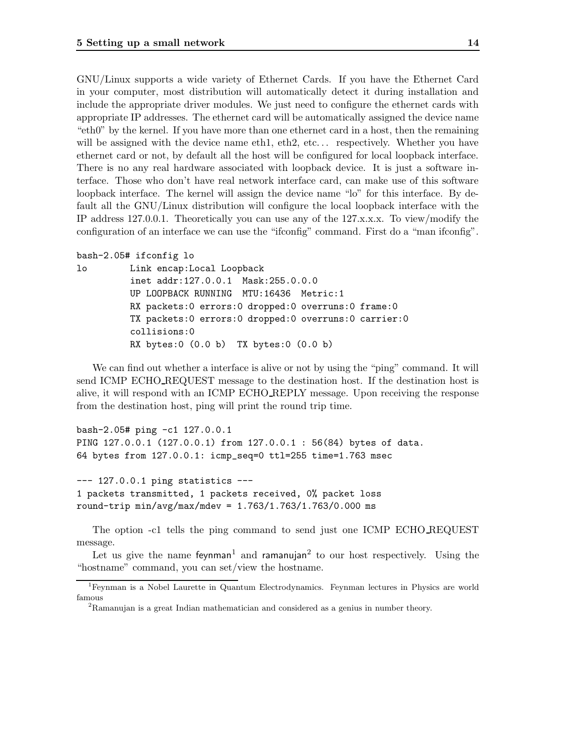GNU/Linux supports a wide variety of Ethernet Cards. If you have the Ethernet Card in your computer, most distribution will automatically detect it during installation and include the appropriate driver modules. We just need to configure the ethernet cards with appropriate IP addresses. The ethernet card will be automatically assigned the device name "eth0" by the kernel. If you have more than one ethernet card in a host, then the remaining will be assigned with the device name eth1, eth2, etc... respectively. Whether you have ethernet card or not, by default all the host will be configured for local loopback interface. There is no any real hardware associated with loopback device. It is just a software interface. Those who don't have real network interface card, can make use of this software loopback interface. The kernel will assign the device name "lo" for this interface. By default all the GNU/Linux distribution will configure the local loopback interface with the IP address 127.0.0.1. Theoretically you can use any of the 127.x.x.x. To view/modify the configuration of an interface we can use the "ifconfig" command. First do a "man ifconfig".

```
bash-2.05# ifconfig lo
```

```
lo Link encap:Local Loopback
         inet addr:127.0.0.1 Mask:255.0.0.0
         UP LOOPBACK RUNNING MTU:16436 Metric:1
         RX packets:0 errors:0 dropped:0 overruns:0 frame:0
         TX packets:0 errors:0 dropped:0 overruns:0 carrier:0
         collisions:0
         RX bytes:0 (0.0 b) TX bytes:0 (0.0 b)
```
We can find out whether a interface is alive or not by using the "ping" command. It will send ICMP ECHO REQUEST message to the destination host. If the destination host is alive, it will respond with an ICMP ECHO REPLY message. Upon receiving the response from the destination host, ping will print the round trip time.

```
bash-2.05# ping -c1 127.0.0.1
PING 127.0.0.1 (127.0.0.1) from 127.0.0.1 : 56(84) bytes of data.
64 bytes from 127.0.0.1: icmp_seq=0 ttl=255 time=1.763 msec
```

```
--- 127.0.0.1 ping statistics ---
1 packets transmitted, 1 packets received, 0% packet loss
round-trip min/avg/max/mdev = 1.763/1.763/1.763/0.000 ms
```
The option -c1 tells the ping command to send just one ICMP ECHO REQUEST message.

Let us give the name feynman<sup>1</sup> and ramanujan<sup>2</sup> to our host respectively. Using the "hostname" command, you can set/view the hostname.

<sup>1</sup>Feynman is a Nobel Laurette in Quantum Electrodynamics. Feynman lectures in Physics are world famous

<sup>&</sup>lt;sup>2</sup>Ramanujan is a great Indian mathematician and considered as a genius in number theory.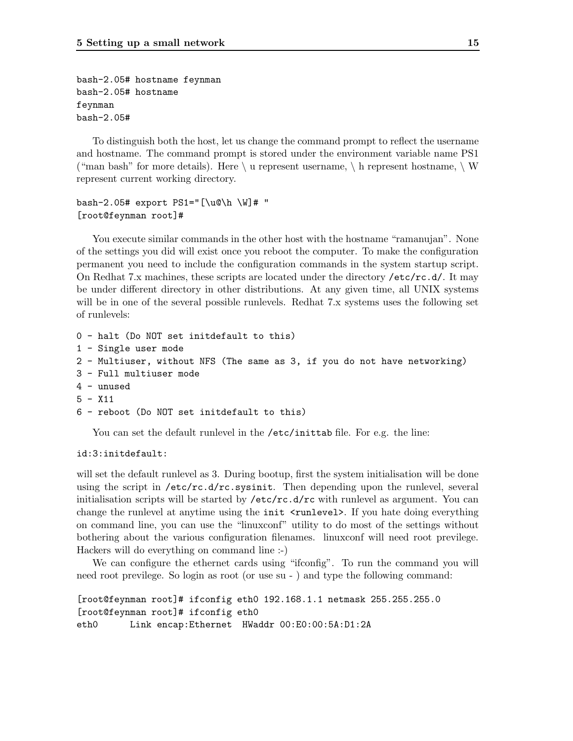```
bash-2.05# hostname feynman
bash-2.05# hostname
feynman
bash-2.05#
```
To distinguish both the host, let us change the command prompt to reflect the username and hostname. The command prompt is stored under the environment variable name PS1 ("man bash" for more details). Here  $\setminus u$  represent username,  $\setminus h$  represent hostname,  $\setminus W$ represent current working directory.

```
bash-2.05# export PS1="[\u@\h \W]# "
[root@feynman root]#
```
You execute similar commands in the other host with the hostname "ramanujan". None of the settings you did will exist once you reboot the computer. To make the configuration permanent you need to include the configuration commands in the system startup script. On Redhat 7.x machines, these scripts are located under the directory /etc/rc.d/. It may be under different directory in other distributions. At any given time, all UNIX systems will be in one of the several possible runlevels. Redhat 7.x systems uses the following set of runlevels:

```
0 - halt (Do NOT set initdefault to this)
1 - Single user mode
2 - Multiuser, without NFS (The same as 3, if you do not have networking)
3 - Full multiuser mode
4 - unused
5 - X116 - reboot (Do NOT set initdefault to this)
```
You can set the default runlevel in the /etc/inittab file. For e.g. the line:

#### id:3:initdefault:

will set the default runlevel as 3. During bootup, first the system initialisation will be done using the script in  $/etcirc.dirc.sysinit$ . Then depending upon the runlevel, several initialisation scripts will be started by /etc/rc.d/rc with runlevel as argument. You can change the runlevel at anytime using the init  $\langle$ runlevel>. If you hate doing everything on command line, you can use the "linuxconf" utility to do most of the settings without bothering about the various configuration filenames. linuxconf will need root previlege. Hackers will do everything on command line :-)

We can configure the ethernet cards using "ifconfig". To run the command you will need root previlege. So login as root (or use su - ) and type the following command:

```
[root@feynman root]# ifconfig eth0 192.168.1.1 netmask 255.255.255.0
[root@feynman root]# ifconfig eth0
eth0 Link encap:Ethernet HWaddr 00:E0:00:5A:D1:2A
```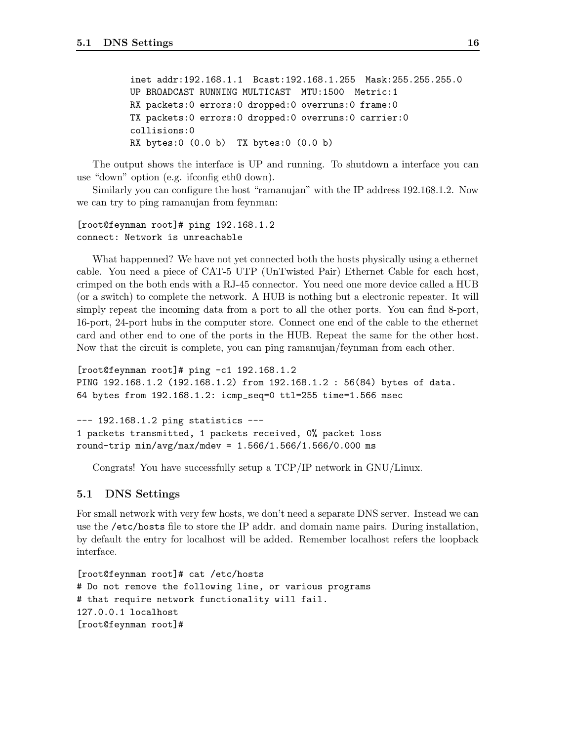```
inet addr:192.168.1.1 Bcast:192.168.1.255 Mask:255.255.255.0
UP BROADCAST RUNNING MULTICAST MTU:1500 Metric:1
RX packets:0 errors:0 dropped:0 overruns:0 frame:0
TX packets:0 errors:0 dropped:0 overruns:0 carrier:0
collisions:0
RX bytes:0 (0.0 b) TX bytes:0 (0.0 b)
```
The output shows the interface is UP and running. To shutdown a interface you can use "down" option (e.g. ifconfig eth0 down).

Similarly you can configure the host "ramanujan" with the IP address 192.168.1.2. Now we can try to ping ramanujan from feynman:

# [root@feynman root]# ping 192.168.1.2 connect: Network is unreachable

What happenned? We have not yet connected both the hosts physically using a ethernet cable. You need a piece of CAT-5 UTP (UnTwisted Pair) Ethernet Cable for each host, crimped on the both ends with a RJ-45 connector. You need one more device called a HUB (or a switch) to complete the network. A HUB is nothing but a electronic repeater. It will simply repeat the incoming data from a port to all the other ports. You can find 8-port, 16-port, 24-port hubs in the computer store. Connect one end of the cable to the ethernet card and other end to one of the ports in the HUB. Repeat the same for the other host. Now that the circuit is complete, you can ping ramanujan/feynman from each other.

```
[root@feynman root]# ping -c1 192.168.1.2
PING 192.168.1.2 (192.168.1.2) from 192.168.1.2 : 56(84) bytes of data.
64 bytes from 192.168.1.2: icmp_seq=0 ttl=255 time=1.566 msec
```
--- 192.168.1.2 ping statistics --- 1 packets transmitted, 1 packets received, 0% packet loss round-trip min/avg/max/mdev = 1.566/1.566/1.566/0.000 ms

Congrats! You have successfully setup a TCP/IP network in GNU/Linux.

# 5.1 DNS Settings

For small network with very few hosts, we don't need a separate DNS server. Instead we can use the /etc/hosts file to store the IP addr. and domain name pairs. During installation, by default the entry for localhost will be added. Remember localhost refers the loopback interface.

```
[root@feynman root]# cat /etc/hosts
# Do not remove the following line, or various programs
# that require network functionality will fail.
127.0.0.1 localhost
[root@feynman root]#
```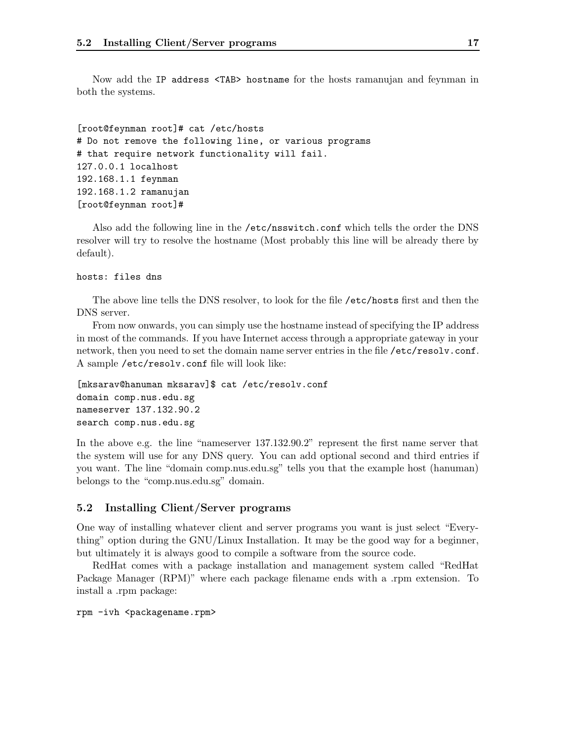Now add the IP address <TAB> hostname for the hosts ramanujan and feynman in both the systems.

```
[root@feynman root]# cat /etc/hosts
# Do not remove the following line, or various programs
# that require network functionality will fail.
127.0.0.1 localhost
192.168.1.1 feynman
192.168.1.2 ramanujan
[root@feynman root]#
```
Also add the following line in the /etc/nsswitch.conf which tells the order the DNS resolver will try to resolve the hostname (Most probably this line will be already there by default).

#### hosts: files dns

The above line tells the DNS resolver, to look for the file /etc/hosts first and then the DNS server.

From now onwards, you can simply use the hostname instead of specifying the IP address in most of the commands. If you have Internet access through a appropriate gateway in your network, then you need to set the domain name server entries in the file /etc/resolv.conf. A sample /etc/resolv.conf file will look like:

```
[mksarav@hanuman mksarav]$ cat /etc/resolv.conf
domain comp.nus.edu.sg
nameserver 137.132.90.2
search comp.nus.edu.sg
```
In the above e.g. the line "nameserver 137.132.90.2" represent the first name server that the system will use for any DNS query. You can add optional second and third entries if you want. The line "domain comp.nus.edu.sg" tells you that the example host (hanuman) belongs to the "comp.nus.edu.sg" domain.

# 5.2 Installing Client/Server programs

One way of installing whatever client and server programs you want is just select "Everything" option during the GNU/Linux Installation. It may be the good way for a beginner, but ultimately it is always good to compile a software from the source code.

RedHat comes with a package installation and management system called "RedHat Package Manager (RPM)" where each package filename ends with a .rpm extension. To install a .rpm package:

```
rpm -ivh <packagename.rpm>
```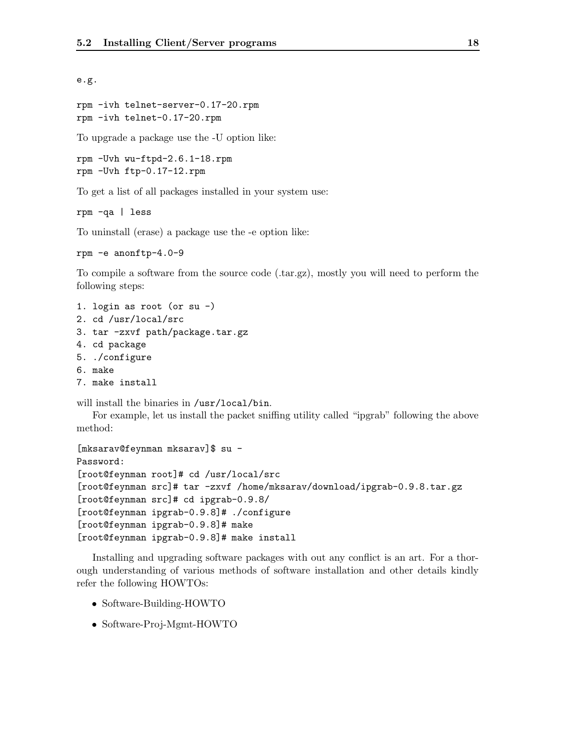e.g.

```
rpm -ivh telnet-server-0.17-20.rpm
rpm -ivh telnet-0.17-20.rpm
```
To upgrade a package use the -U option like:

```
rpm -Uvh wu-ftpd-2.6.1-18.rpm
rpm -Uvh ftp-0.17-12.rpm
```
To get a list of all packages installed in your system use:

rpm -qa | less

To uninstall (erase) a package use the -e option like:

```
rpm -e anonftp-4.0-9
```
To compile a software from the source code (.tar.gz), mostly you will need to perform the following steps:

- 1. login as root (or su -)
- 2. cd /usr/local/src
- 3. tar -zxvf path/package.tar.gz
- 4. cd package
- 5. ./configure
- 6. make
- 7. make install

will install the binaries in /usr/local/bin.

For example, let us install the packet sniffing utility called "ipgrab" following the above method:

```
[mksarav@feynman mksarav]$ su -
Password:
[root@feynman root]# cd /usr/local/src
[root@feynman src]# tar -zxvf /home/mksarav/download/ipgrab-0.9.8.tar.gz
[root@feynman src]# cd ipgrab-0.9.8/
[root@feynman ipgrab-0.9.8]# ./configure
[root@feynman ipgrab-0.9.8]# make
[root@feynman ipgrab-0.9.8]# make install
```
Installing and upgrading software packages with out any conflict is an art. For a thorough understanding of various methods of software installation and other details kindly refer the following HOWTOs:

- Software-Building-HOWTO
- Software-Proj-Mgmt-HOWTO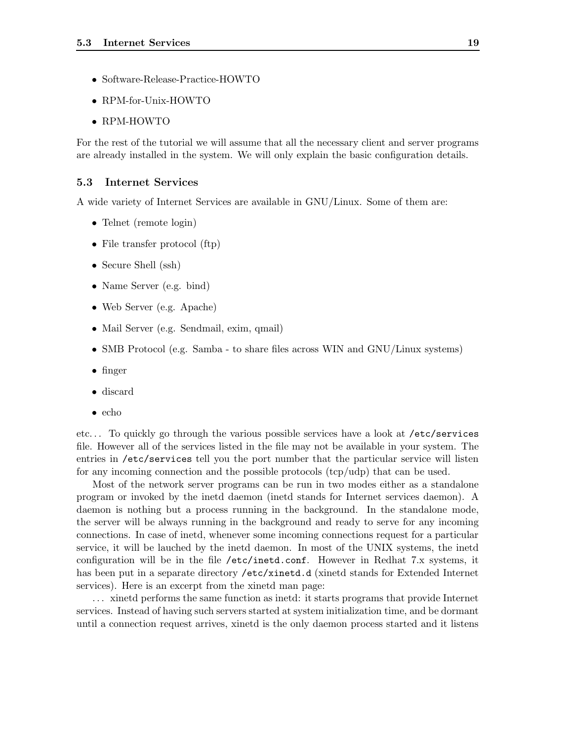- Software-Release-Practice-HOWTO
- RPM-for-Unix-HOWTO
- RPM-HOWTO

For the rest of the tutorial we will assume that all the necessary client and server programs are already installed in the system. We will only explain the basic configuration details.

# 5.3 Internet Services

A wide variety of Internet Services are available in GNU/Linux. Some of them are:

- Telnet (remote login)
- File transfer protocol (ftp)
- Secure Shell (ssh)
- Name Server (e.g. bind)
- Web Server (e.g. Apache)
- Mail Server (e.g. Sendmail, exim, qmail)
- SMB Protocol (e.g. Samba to share files across WIN and GNU/Linux systems)
- finger
- discard
- echo

etc. . . To quickly go through the various possible services have a look at /etc/services file. However all of the services listed in the file may not be available in your system. The entries in /etc/services tell you the port number that the particular service will listen for any incoming connection and the possible protocols (tcp/udp) that can be used.

Most of the network server programs can be run in two modes either as a standalone program or invoked by the inetd daemon (inetd stands for Internet services daemon). A daemon is nothing but a process running in the background. In the standalone mode, the server will be always running in the background and ready to serve for any incoming connections. In case of inetd, whenever some incoming connections request for a particular service, it will be lauched by the inetd daemon. In most of the UNIX systems, the inetd configuration will be in the file /etc/inetd.conf. However in Redhat 7.x systems, it has been put in a separate directory /etc/xinetd.d (xinetd stands for Extended Internet services). Here is an excerpt from the xinetd man page:

. . . xinetd performs the same function as inetd: it starts programs that provide Internet services. Instead of having such servers started at system initialization time, and be dormant until a connection request arrives, xinetd is the only daemon process started and it listens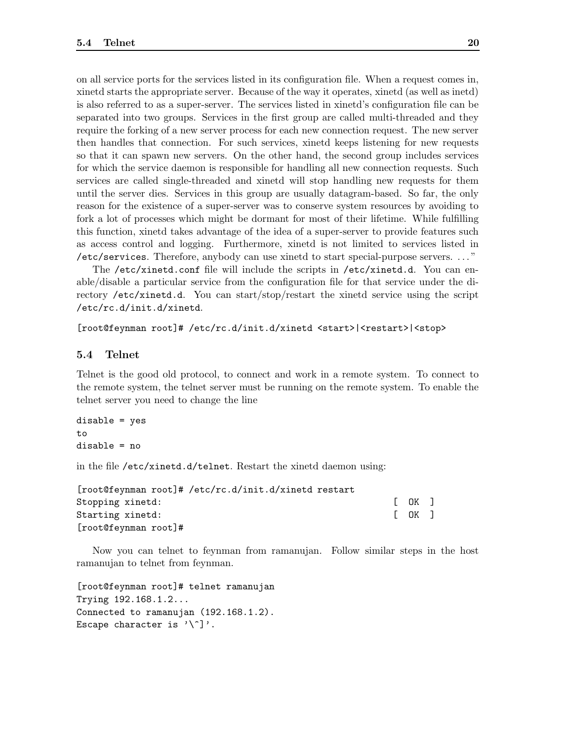on all service ports for the services listed in its configuration file. When a request comes in, xinetd starts the appropriate server. Because of the way it operates, xinetd (as well as inetd) is also referred to as a super-server. The services listed in xinetd's configuration file can be separated into two groups. Services in the first group are called multi-threaded and they require the forking of a new server process for each new connection request. The new server then handles that connection. For such services, xinetd keeps listening for new requests so that it can spawn new servers. On the other hand, the second group includes services for which the service daemon is responsible for handling all new connection requests. Such services are called single-threaded and xinetd will stop handling new requests for them until the server dies. Services in this group are usually datagram-based. So far, the only reason for the existence of a super-server was to conserve system resources by avoiding to fork a lot of processes which might be dormant for most of their lifetime. While fulfilling this function, xinetd takes advantage of the idea of a super-server to provide features such as access control and logging. Furthermore, xinetd is not limited to services listed in /etc/services. Therefore, anybody can use xinetd to start special-purpose servers. . . . "

The /etc/xinetd.conf file will include the scripts in /etc/xinetd.d. You can enable/disable a particular service from the configuration file for that service under the directory /etc/xinetd.d. You can start/stop/restart the xinetd service using the script /etc/rc.d/init.d/xinetd.

[root@feynman root]# /etc/rc.d/init.d/xinetd <start>|<restart>|<stop>

## 5.4 Telnet

Telnet is the good old protocol, to connect and work in a remote system. To connect to the remote system, the telnet server must be running on the remote system. To enable the telnet server you need to change the line

```
disable = yes
to
disable = no
```
in the file /etc/xinetd.d/telnet. Restart the xinetd daemon using:

| [root@feynman root]# /etc/rc.d/init.d/xinetd restart |        |  |
|------------------------------------------------------|--------|--|
| Stopping xinetd:                                     | r ok 1 |  |
| Starting xinetd:                                     | [OK]   |  |
| $[root@feynman root]$ #                              |        |  |

Now you can telnet to feynman from ramanujan. Follow similar steps in the host ramanujan to telnet from feynman.

```
[root@feynman root]# telnet ramanujan
Trying 192.168.1.2...
Connected to ramanujan (192.168.1.2).
Escape character is '\.
```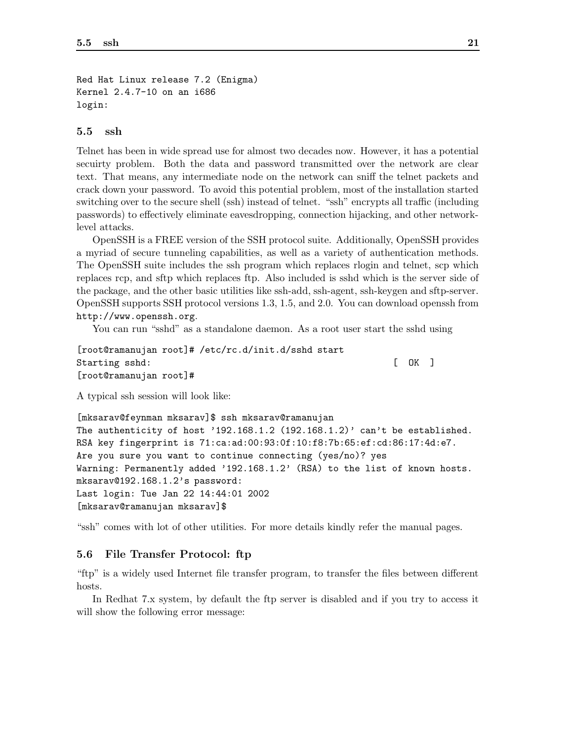```
Red Hat Linux release 7.2 (Enigma)
Kernel 2.4.7-10 on an i686
login:
```
## 5.5 ssh

Telnet has been in wide spread use for almost two decades now. However, it has a potential secuirty problem. Both the data and password transmitted over the network are clear text. That means, any intermediate node on the network can sniff the telnet packets and crack down your password. To avoid this potential problem, most of the installation started switching over to the secure shell (ssh) instead of telnet. "ssh" encrypts all traffic (including passwords) to effectively eliminate eavesdropping, connection hijacking, and other networklevel attacks.

OpenSSH is a FREE version of the SSH protocol suite. Additionally, OpenSSH provides a myriad of secure tunneling capabilities, as well as a variety of authentication methods. The OpenSSH suite includes the ssh program which replaces rlogin and telnet, scp which replaces rcp, and sftp which replaces ftp. Also included is sshd which is the server side of the package, and the other basic utilities like ssh-add, ssh-agent, ssh-keygen and sftp-server. OpenSSH supports SSH protocol versions 1.3, 1.5, and 2.0. You can download openssh from http://www.openssh.org.

You can run "sshd" as a standalone daemon. As a root user start the sshd using

```
[root@ramanujan root]# /etc/rc.d/init.d/sshd start
Starting sshd: [ OK ]
[root@ramanujan root]#
```
A typical ssh session will look like:

[mksarav@feynman mksarav]\$ ssh mksarav@ramanujan The authenticity of host '192.168.1.2  $(192.168.1.2)$ ' can't be established. RSA key fingerprint is 71:ca:ad:00:93:0f:10:f8:7b:65:ef:cd:86:17:4d:e7. Are you sure you want to continue connecting (yes/no)? yes Warning: Permanently added '192.168.1.2' (RSA) to the list of known hosts. mksarav@192.168.1.2's password: Last login: Tue Jan 22 14:44:01 2002 [mksarav@ramanujan mksarav]\$

"ssh" comes with lot of other utilities. For more details kindly refer the manual pages.

## 5.6 File Transfer Protocol: ftp

"ftp" is a widely used Internet file transfer program, to transfer the files between different hosts.

In Redhat 7.x system, by default the ftp server is disabled and if you try to access it will show the following error message: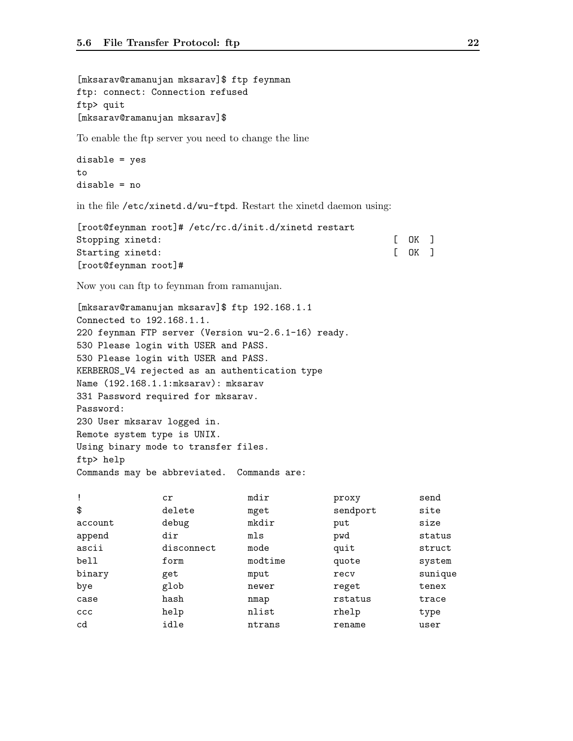[mksarav@ramanujan mksarav]\$ ftp feynman ftp: connect: Connection refused ftp> quit [mksarav@ramanujan mksarav]\$

To enable the ftp server you need to change the line

```
disable = yes
to
disable = no
```
in the file /etc/xinetd.d/wu-ftpd. Restart the xinetd daemon using:

| [root@feynman root]# /etc/rc.d/init.d/xinetd restart |        |  |
|------------------------------------------------------|--------|--|
| Stopping xinetd:                                     | [OK]   |  |
| Starting xinetd:                                     | I OK 1 |  |
| $[root@feynman root]$ #                              |        |  |

Now you can ftp to feynman from ramanujan.

[mksarav@ramanujan mksarav]\$ ftp 192.168.1.1 Connected to 192.168.1.1. 220 feynman FTP server (Version wu-2.6.1-16) ready. 530 Please login with USER and PASS. 530 Please login with USER and PASS. KERBEROS\_V4 rejected as an authentication type Name (192.168.1.1:mksarav): mksarav 331 Password required for mksarav. Password: 230 User mksarav logged in. Remote system type is UNIX. Using binary mode to transfer files. ftp> help Commands may be abbreviated. Commands are:

| $\mathbf{I}$ | cr         | mdir    | proxy    | send    |
|--------------|------------|---------|----------|---------|
| \$           | delete     | mget    | sendport | site    |
| account      | debug      | mkdir   | put      | size    |
| append       | dir        | mls     | pwd      | status  |
| ascii        | disconnect | mode    | quit     | struct  |
| bell         | form       | modtime | quote    | system  |
| binary       | get        | mput    | recy     | sunique |
| bye          | glob       | newer   | reget    | tenex   |
| case         | hash       | nmap    | rstatus  | trace   |
| CCC          | help       | nlist   | rhelp    | type    |
| cd           | idle       | ntrans  | rename   | user    |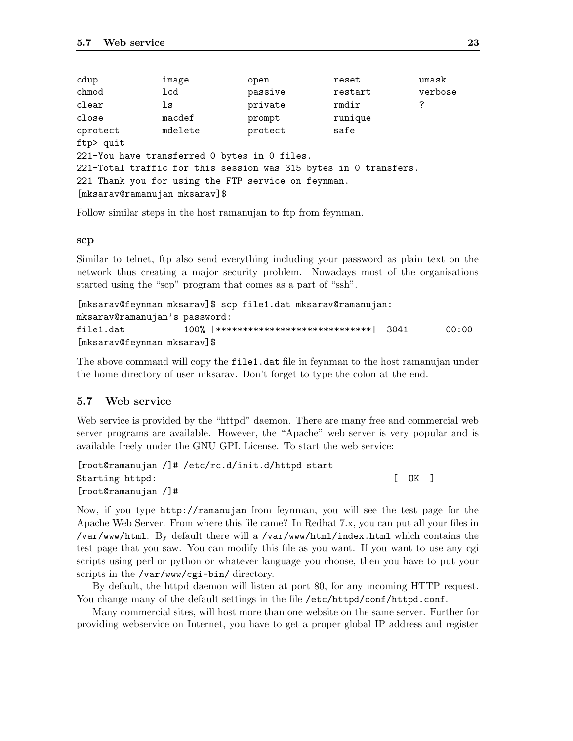| cdup                          | image                                                            | open    | reset   | umask   |
|-------------------------------|------------------------------------------------------------------|---------|---------|---------|
| chmod                         | lcd                                                              | passive | restart | verbose |
| $\mathtt{clear}$              | ls                                                               | private | rmdir   | ?       |
| close                         | macdef                                                           | prompt  | runique |         |
| cprotect                      | mdelete                                                          | protect | safe    |         |
| ftp> quit                     |                                                                  |         |         |         |
|                               | 221-You have transferred 0 bytes in 0 files.                     |         |         |         |
|                               | 221-Total traffic for this session was 315 bytes in 0 transfers. |         |         |         |
|                               | 221 Thank you for using the FTP service on feynman.              |         |         |         |
| [mksarav@ramanujan mksarav]\$ |                                                                  |         |         |         |

Follow similar steps in the host ramanujan to ftp from feynman.

#### scp

Similar to telnet, ftp also send everything including your password as plain text on the network thus creating a major security problem. Nowadays most of the organisations started using the "scp" program that comes as a part of "ssh".

```
[mksarav@feynman mksarav]$ scp file1.dat mksarav@ramanujan:
mksarav@ramanujan's password:
file1.dat 100% |*****************************| 3041 00:00
[mksarav@feynman mksarav]$
```
The above command will copy the file1.dat file in feynman to the host ramanujan under the home directory of user mksarav. Don't forget to type the colon at the end.

# 5.7 Web service

Web service is provided by the "httpd" daemon. There are many free and commercial web server programs are available. However, the "Apache" web server is very popular and is available freely under the GNU GPL License. To start the web service:

```
[root@ramanujan /]# /etc/rc.d/init.d/httpd start
Starting httpd: [ OK ]
[root@ramanujan /]#
```
Now, if you type http://ramanujan from feynman, you will see the test page for the Apache Web Server. From where this file came? In Redhat 7.x, you can put all your files in /var/www/html. By default there will a /var/www/html/index.html which contains the test page that you saw. You can modify this file as you want. If you want to use any cgi scripts using perl or python or whatever language you choose, then you have to put your scripts in the /var/www/cgi-bin/ directory.

By default, the httpd daemon will listen at port 80, for any incoming HTTP request. You change many of the default settings in the file /etc/httpd/conf/httpd.conf.

Many commercial sites, will host more than one website on the same server. Further for providing webservice on Internet, you have to get a proper global IP address and register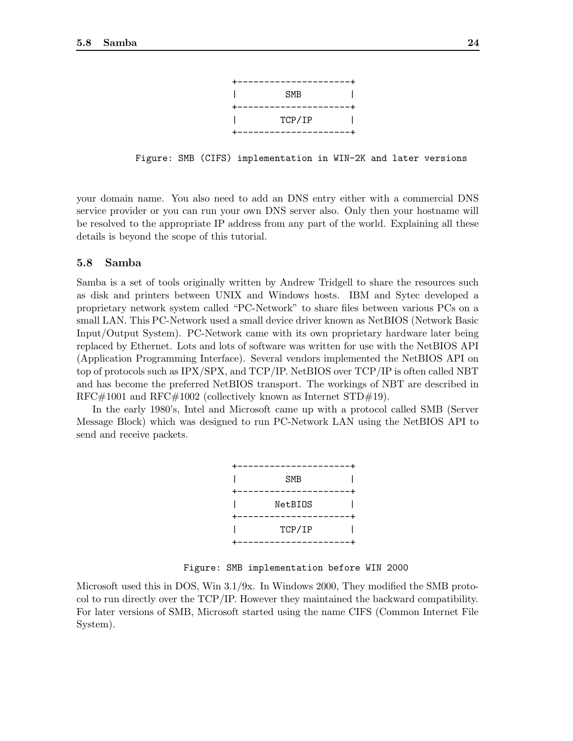

Figure: SMB (CIFS) implementation in WIN-2K and later versions

your domain name. You also need to add an DNS entry either with a commercial DNS service provider or you can run your own DNS server also. Only then your hostname will be resolved to the appropriate IP address from any part of the world. Explaining all these details is beyond the scope of this tutorial.

## 5.8 Samba

Samba is a set of tools originally written by Andrew Tridgell to share the resources such as disk and printers between UNIX and Windows hosts. IBM and Sytec developed a proprietary network system called "PC-Network" to share files between various PCs on a small LAN. This PC-Network used a small device driver known as NetBIOS (Network Basic Input/Output System). PC-Network came with its own proprietary hardware later being replaced by Ethernet. Lots and lots of software was written for use with the NetBIOS API (Application Programming Interface). Several vendors implemented the NetBIOS API on top of protocols such as IPX/SPX, and TCP/IP. NetBIOS over TCP/IP is often called NBT and has become the preferred NetBIOS transport. The workings of NBT are described in RFC#1001 and RFC#1002 (collectively known as Internet STD#19).

In the early 1980's, Intel and Microsoft came up with a protocol called SMB (Server Message Block) which was designed to run PC-Network LAN using the NetBIOS API to send and receive packets.

| <b>SMB</b> |  |
|------------|--|
|            |  |
| NetBI0S    |  |
|            |  |
| TCP/IP     |  |
|            |  |

Figure: SMB implementation before WIN 2000

Microsoft used this in DOS, Win 3.1/9x. In Windows 2000, They modified the SMB protocol to run directly over the TCP/IP. However they maintained the backward compatibility. For later versions of SMB, Microsoft started using the name CIFS (Common Internet File System).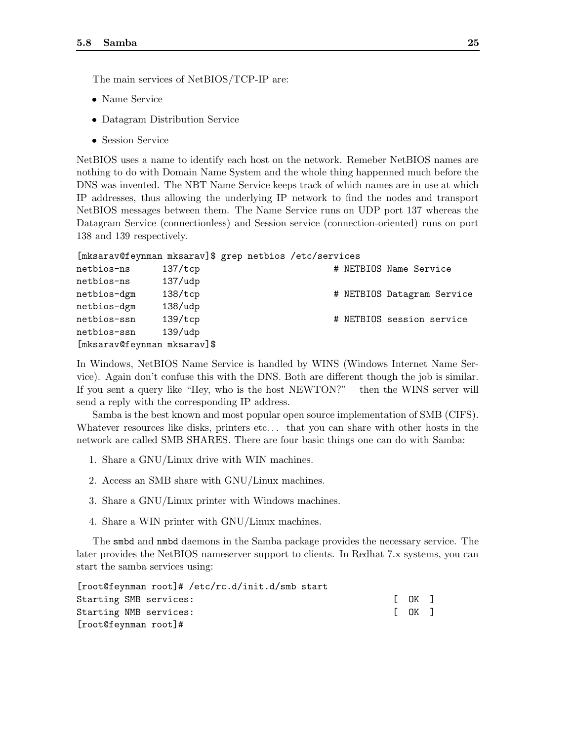The main services of NetBIOS/TCP-IP are:

- Name Service
- Datagram Distribution Service
- Session Service

NetBIOS uses a name to identify each host on the network. Remeber NetBIOS names are nothing to do with Domain Name System and the whole thing happenned much before the DNS was invented. The NBT Name Service keeps track of which names are in use at which IP addresses, thus allowing the underlying IP network to find the nodes and transport NetBIOS messages between them. The Name Service runs on UDP port 137 whereas the Datagram Service (connectionless) and Session service (connection-oriented) runs on port 138 and 139 respectively.

| [mksarav@feynman mksarav]\$ grep netbios /etc/services |  |  |  |  |  |
|--------------------------------------------------------|--|--|--|--|--|
|--------------------------------------------------------|--|--|--|--|--|

| netbios-ns                  | $137/$ tcp |  | # NETBIOS Name Service     |
|-----------------------------|------------|--|----------------------------|
| netbios-ns                  | $137/$ udp |  |                            |
| netbios-dgm                 | 138/tcp    |  | # NETBIOS Datagram Service |
| netbios-dgm                 | $138/$ udp |  |                            |
| netbios-ssn                 | 139/tcp    |  | # NETBIOS session service  |
| netbios-ssn                 | 139/udp    |  |                            |
| [mksarav@feynman mksarav]\$ |            |  |                            |

In Windows, NetBIOS Name Service is handled by WINS (Windows Internet Name Service). Again don't confuse this with the DNS. Both are different though the job is similar. If you sent a query like "Hey, who is the host NEWTON?" – then the WINS server will send a reply with the corresponding IP address.

Samba is the best known and most popular open source implementation of SMB (CIFS). Whatever resources like disks, printers etc... that you can share with other hosts in the network are called SMB SHARES. There are four basic things one can do with Samba:

- 1. Share a GNU/Linux drive with WIN machines.
- 2. Access an SMB share with GNU/Linux machines.
- 3. Share a GNU/Linux printer with Windows machines.
- 4. Share a WIN printer with GNU/Linux machines.

The smbd and nmbd daemons in the Samba package provides the necessary service. The later provides the NetBIOS nameserver support to clients. In Redhat 7.x systems, you can start the samba services using:

| [root@feynman root]# /etc/rc.d/init.d/smb start |                                                      |  |
|-------------------------------------------------|------------------------------------------------------|--|
| Starting SMB services:                          | $\begin{bmatrix} \quad OK \quad \quad \end{bmatrix}$ |  |
| Starting NMB services:                          | $\begin{bmatrix} \quad OK \quad \quad \end{bmatrix}$ |  |
| [root@feynman root]#                            |                                                      |  |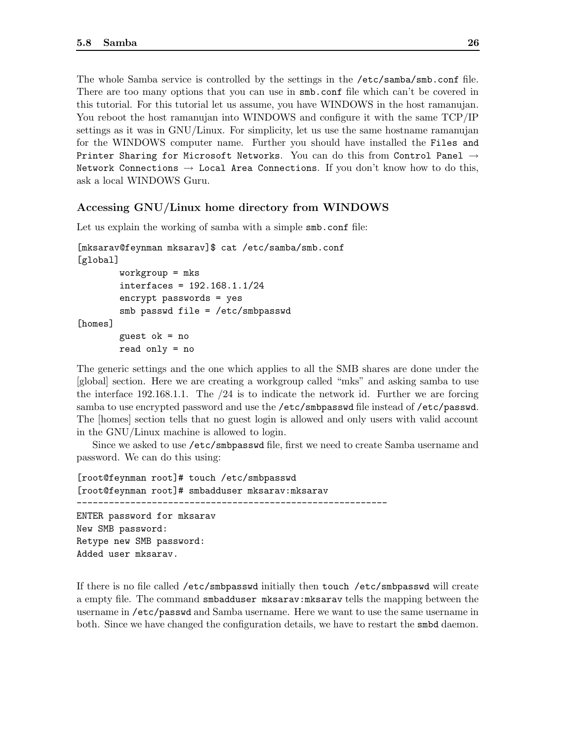The whole Samba service is controlled by the settings in the /etc/samba/smb.conf file. There are too many options that you can use in smb.conf file which can't be covered in this tutorial. For this tutorial let us assume, you have WINDOWS in the host ramanujan. You reboot the host ramanujan into WINDOWS and configure it with the same TCP/IP settings as it was in GNU/Linux. For simplicity, let us use the same hostname ramanujan for the WINDOWS computer name. Further you should have installed the Files and Printer Sharing for Microsoft Networks. You can do this from Control Panel  $\rightarrow$ Network Connections  $\rightarrow$  Local Area Connections. If you don't know how to do this, ask a local WINDOWS Guru.

## Accessing GNU/Linux home directory from WINDOWS

Let us explain the working of samba with a simple smb.conf file:

[mksarav@feynman mksarav]\$ cat /etc/samba/smb.conf [global] workgroup = mks interfaces = 192.168.1.1/24 encrypt passwords = yes smb passwd file = /etc/smbpasswd [homes] guest ok = no read only = no

The generic settings and the one which applies to all the SMB shares are done under the [global] section. Here we are creating a workgroup called "mks" and asking samba to use the interface 192.168.1.1. The /24 is to indicate the network id. Further we are forcing samba to use encrypted password and use the /etc/smbpasswd file instead of /etc/passwd. The [homes] section tells that no guest login is allowed and only users with valid account in the GNU/Linux machine is allowed to login.

Since we asked to use /etc/smbpasswd file, first we need to create Samba username and password. We can do this using:

[root@feynman root]# touch /etc/smbpasswd [root@feynman root]# smbadduser mksarav:mksarav ---------------------------------------------------------- ENTER password for mksarav New SMB password: Retype new SMB password: Added user mksarav.

If there is no file called /etc/smbpasswd initially then touch /etc/smbpasswd will create a empty file. The command smbadduser mksarav:mksarav tells the mapping between the username in /etc/passwd and Samba username. Here we want to use the same username in both. Since we have changed the configuration details, we have to restart the smbd daemon.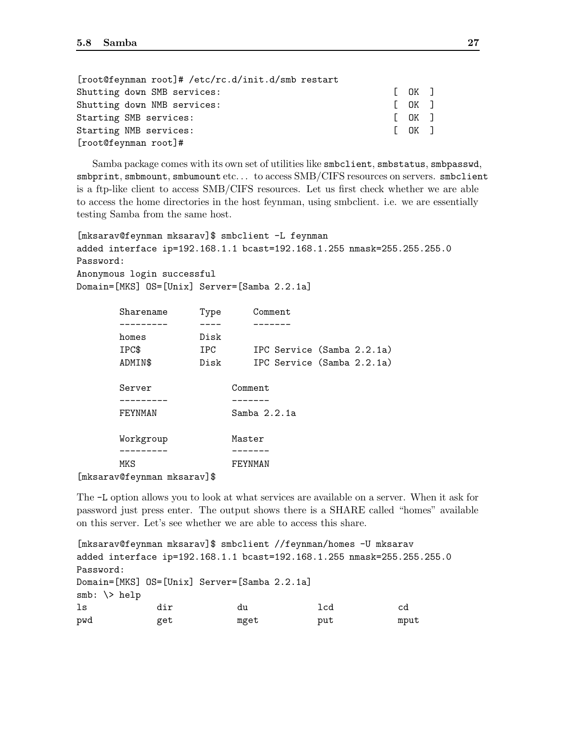| [root@feynman root]# /etc/rc.d/init.d/smb restart |                                                                          |  |
|---------------------------------------------------|--------------------------------------------------------------------------|--|
| Shutting down SMB services:                       | [OK]                                                                     |  |
| Shutting down NMB services:                       | [OK]                                                                     |  |
| Starting SMB services:                            | $\begin{bmatrix} \begin{array}{ccc} \text{OK} \end{array} \end{bmatrix}$ |  |
| Starting NMB services:                            | [OK]                                                                     |  |
| [root@feynman root]#                              |                                                                          |  |

Samba package comes with its own set of utilities like smbclient, smbstatus, smbpasswd, smbprint, smbmount, smbumount etc. . . to access SMB/CIFS resources on servers. smbclient is a ftp-like client to access SMB/CIFS resources. Let us first check whether we are able to access the home directories in the host feynman, using smbclient. i.e. we are essentially testing Samba from the same host.

```
[mksarav@feynman mksarav]$ smbclient -L feynman
added interface ip=192.168.1.1 bcast=192.168.1.255 nmask=255.255.255.0
Password:
Anonymous login successful
Domain=[MKS] OS=[Unix] Server=[Samba 2.2.1a]
```

| Sharename | Type | Comment                    |
|-----------|------|----------------------------|
|           |      |                            |
| homes     | Disk |                            |
| IPC\$     | IPC. | IPC Service (Samba 2.2.1a) |
| ADMIN\$   | Disk | IPC Service (Samba 2.2.1a) |
|           |      |                            |
| Server    |      | Comment                    |
|           |      |                            |
| FEYNMAN   |      | Samba $2.2.1a$             |
|           |      |                            |
| Workgroup |      | Master                     |
|           |      |                            |
| MKS       |      | FEYNMAN                    |
|           | ¬ ▲  |                            |

<sup>[</sup>mksarav@feynman mksarav]\$

The -L option allows you to look at what services are available on a server. When it ask for password just press enter. The output shows there is a SHARE called "homes" available on this server. Let's see whether we are able to access this share.

[mksarav@feynman mksarav]\$ smbclient //feynman/homes -U mksarav added interface ip=192.168.1.1 bcast=192.168.1.255 nmask=255.255.255.0 Password: Domain=[MKS] OS=[Unix] Server=[Samba 2.2.1a] smb:  $\>$  help ls dir du lcd cd pwd get mget put mput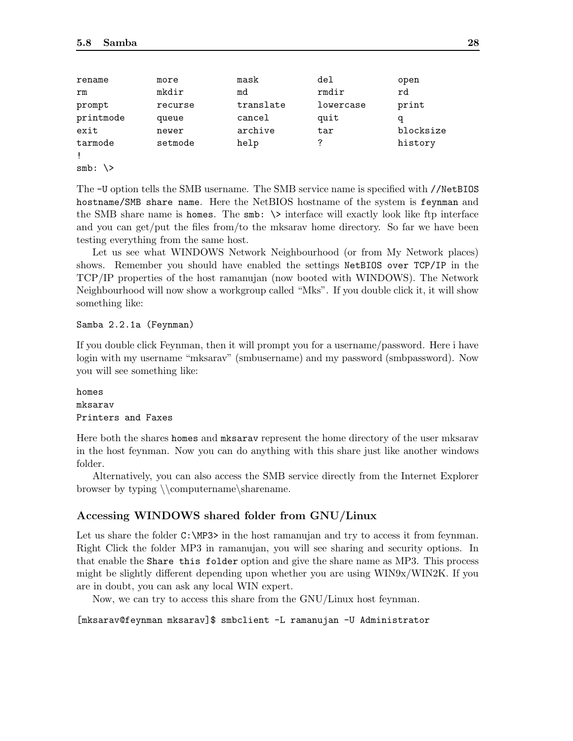| rename    | more    | mask      | del       | open      |
|-----------|---------|-----------|-----------|-----------|
| rm        | mkdir   | md        | rmdir     | rd        |
| prompt    | recurse | translate | lowercase | print     |
| printmode | queue   | cancel    | quit      | q         |
| exit      | newer   | archive   | tar       | blocksize |
| tarmode   | setmode | help      | 7         | history   |
|           |         |           |           |           |
| $smb$ :   |         |           |           |           |

The -U option tells the SMB username. The SMB service name is specified with //NetBIOS hostname/SMB share name. Here the NetBIOS hostname of the system is feynman and the SMB share name is homes. The  $smb: \ \>$  interface will exactly look like ftp interface and you can get/put the files from/to the mksarav home directory. So far we have been testing everything from the same host.

Let us see what WINDOWS Network Neighbourhood (or from My Network places) shows. Remember you should have enabled the settings NetBIOS over TCP/IP in the TCP/IP properties of the host ramanujan (now booted with WINDOWS). The Network Neighbourhood will now show a workgroup called "Mks". If you double click it, it will show something like:

#### Samba 2.2.1a (Feynman)

If you double click Feynman, then it will prompt you for a username/password. Here i have login with my username "mksarav" (smbusername) and my password (smbpassword). Now you will see something like:

# homes mksarav Printers and Faxes

Here both the shares homes and mksarav represent the home directory of the user mksarav in the host feynman. Now you can do anything with this share just like another windows folder.

Alternatively, you can also access the SMB service directly from the Internet Explorer browser by typing \\computername\sharename.

# Accessing WINDOWS shared folder from GNU/Linux

Let us share the folder  $C:\M$ P3> in the host ramanujan and try to access it from feynman. Right Click the folder MP3 in ramanujan, you will see sharing and security options. In that enable the Share this folder option and give the share name as MP3. This process might be slightly different depending upon whether you are using WIN9x/WIN2K. If you are in doubt, you can ask any local WIN expert.

Now, we can try to access this share from the GNU/Linux host feynman.

```
[mksarav@feynman mksarav]$ smbclient -L ramanujan -U Administrator
```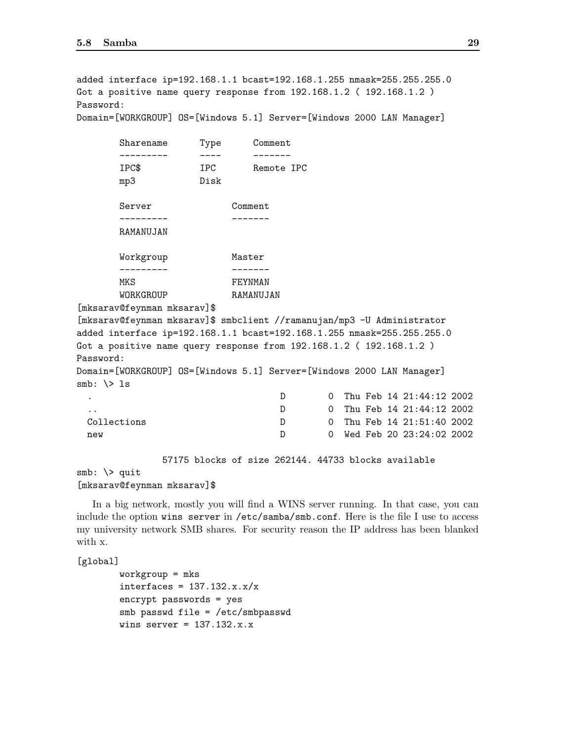added interface ip=192.168.1.1 bcast=192.168.1.255 nmask=255.255.255.0 Got a positive name query response from 192.168.1.2 ( 192.168.1.2 ) Password:

Domain=[WORKGROUP] OS=[Windows 5.1] Server=[Windows 2000 LAN Manager]

| Sharename       | Type    | Comment    |
|-----------------|---------|------------|
| . _ _ _ _ _ _ _ | . — — — | ------     |
| IPC\$           | TPC     | Remote TPC |
| mp3             | Disk    |            |
|                 |         |            |
| Server          |         | Comment    |
|                 |         |            |
| RAMANUJAN       |         |            |
|                 |         |            |
| Workgroup       |         | Master     |
|                 |         |            |
| MKS             |         | FEYNMAN    |
| WORKGROUP       |         | RAMANUJAN  |

[mksarav@feynman mksarav]\$

[mksarav@feynman mksarav]\$ smbclient //ramanujan/mp3 -U Administrator added interface ip=192.168.1.1 bcast=192.168.1.255 nmask=255.255.255.0 Got a positive name query response from 192.168.1.2 ( 192.168.1.2 ) Password: Domain=[WORKGROUP] OS=[Windows 5.1] Server=[Windows 2000 LAN Manager]  $smb: \> 1s$ D 0 Thu Feb 14 21:44:12 2002 .. D 0 Thu Feb 14 21:44:12 2002 Collections D 0 Thu Feb 14 21:51:40 2002

57175 blocks of size 262144. 44733 blocks available

 $smb: \ \&\$  quit

#### [mksarav@feynman mksarav]\$

In a big network, mostly you will find a WINS server running. In that case, you can include the option wins server in /etc/samba/smb.conf. Here is the file I use to access my university network SMB shares. For security reason the IP address has been blanked with x.

new D 0 Wed Feb 20 23:24:02 2002

[global]

```
workgroup = mks
interfaces = 137.132.x.x/xencrypt passwords = yes
smb passwd file = /etc/smbpasswd
wins server = 137.132.x.x
```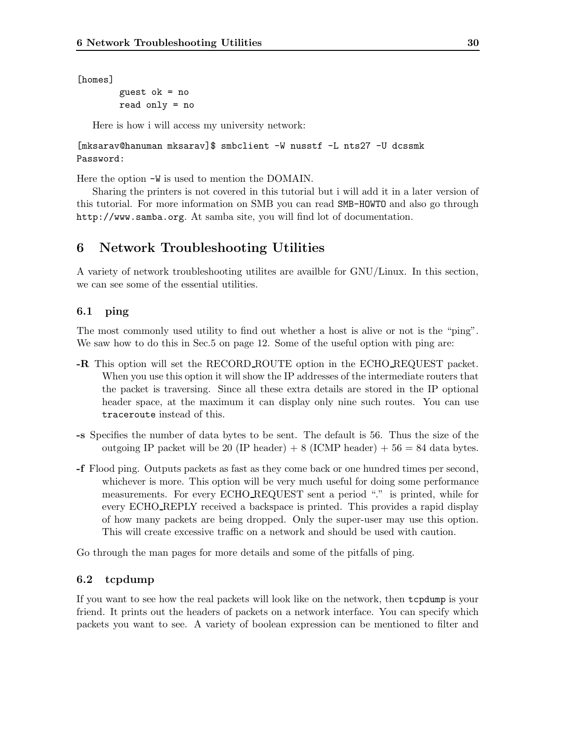[homes]

guest ok = no read only = no

Here is how i will access my university network:

[mksarav@hanuman mksarav]\$ smbclient -W nusstf -L nts27 -U dcssmk Password:

Here the option -W is used to mention the DOMAIN.

Sharing the printers is not covered in this tutorial but i will add it in a later version of this tutorial. For more information on SMB you can read SMB-HOWTO and also go through http://www.samba.org. At samba site, you will find lot of documentation.

# 6 Network Troubleshooting Utilities

A variety of network troubleshooting utilites are availble for GNU/Linux. In this section, we can see some of the essential utilities.

# 6.1 ping

The most commonly used utility to find out whether a host is alive or not is the "ping". We saw how to do this in Sec.5 on page 12. Some of the useful option with ping are:

- -R This option will set the RECORD ROUTE option in the ECHO REQUEST packet. When you use this option it will show the IP addresses of the intermediate routers that the packet is traversing. Since all these extra details are stored in the IP optional header space, at the maximum it can display only nine such routes. You can use traceroute instead of this.
- -s Specifies the number of data bytes to be sent. The default is 56. Thus the size of the outgoing IP packet will be 20 (IP header) + 8 (ICMP header) +  $56 = 84$  data bytes.
- -f Flood ping. Outputs packets as fast as they come back or one hundred times per second, whichever is more. This option will be very much useful for doing some performance measurements. For every ECHO REQUEST sent a period "." is printed, while for every ECHO REPLY received a backspace is printed. This provides a rapid display of how many packets are being dropped. Only the super-user may use this option. This will create excessive traffic on a network and should be used with caution.

Go through the man pages for more details and some of the pitfalls of ping.

# 6.2 tcpdump

If you want to see how the real packets will look like on the network, then tcpdump is your friend. It prints out the headers of packets on a network interface. You can specify which packets you want to see. A variety of boolean expression can be mentioned to filter and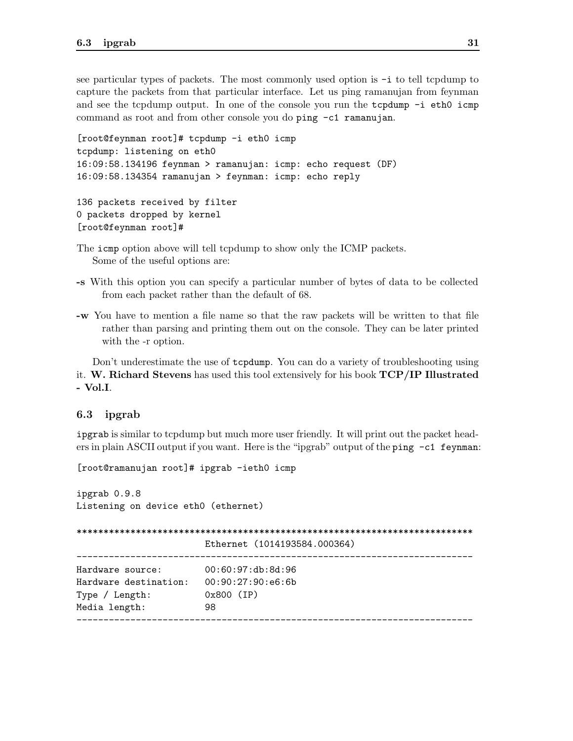see particular types of packets. The most commonly used option is  $-i$  to tell tcpdump to capture the packets from that particular interface. Let us ping ramanujan from feynman and see the tcpdump output. In one of the console you run the tcpdump -i eth0 icmp command as root and from other console you do ping -c1 ramanujan.

```
[root@feynman root]# tcpdump -i eth0 icmp
tcpdump: listening on eth0
16:09:58.134196 feynman > ramanujan: icmp: echo request (DF)
16:09:58.134354 ramanujan > feynman: icmp: echo reply
136 packets received by filter
0 packets dropped by kernel
```
[root@feynman root]#

The icmp option above will tell tcpdump to show only the ICMP packets. Some of the useful options are:

- -s With this option you can specify a particular number of bytes of data to be collected from each packet rather than the default of 68.
- -w You have to mention a file name so that the raw packets will be written to that file rather than parsing and printing them out on the console. They can be later printed with the -r option.

Don't underestimate the use of **tcpdump**. You can do a variety of troubleshooting using it. W. Richard Stevens has used this tool extensively for his book TCP/IP Illustrated - Vol.I.

#### 6.3 ipgrab

ipgrab is similar to tcpdump but much more user friendly. It will print out the packet headers in plain ASCII output if you want. Here is the "ipgrab" output of the ping -c1 feynman:

[root@ramanujan root]# ipgrab -ieth0 icmp

ipgrab 0.9.8 Listening on device eth0 (ethernet)

|                       | Ethernet (1014193584.000364) |  |  |  |
|-----------------------|------------------------------|--|--|--|
| Hardware source:      | 00:60:97:db:8d:96            |  |  |  |
| Hardware destination: | 00:90:27:90:e6:6b            |  |  |  |
| Type / Length:        | $0x800$ (IP)                 |  |  |  |
| Media length:         | 98                           |  |  |  |
|                       |                              |  |  |  |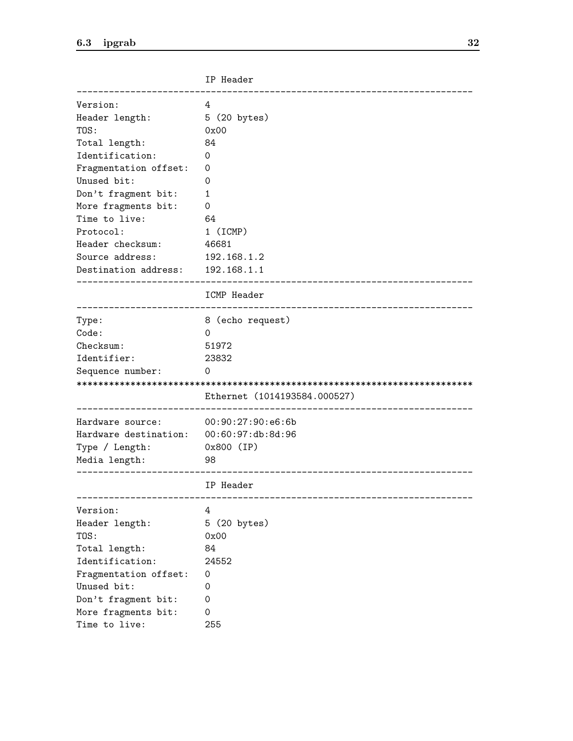|                       | IP Header                    |
|-----------------------|------------------------------|
| Version:              | 4                            |
| Header length:        | 5 (20 bytes)                 |
| TOS:                  | 0x00                         |
| Total length:         | 84                           |
| Identification:       | 0                            |
| Fragmentation offset: | 0                            |
| Unused bit:           | 0                            |
| Don't fragment bit:   | 1                            |
| More fragments bit:   | 0                            |
| Time to live:         | 64                           |
| Protocol:             | $1$ (ICMP)                   |
| Header checksum:      | 46681                        |
| Source address:       | 192.168.1.2                  |
| Destination address:  | 192.168.1.1                  |
|                       | ICMP Header                  |
| Type:                 | 8 (echo request)             |
| Code:                 | 0                            |
| Checksum:             | 51972                        |
| Identifier:           | 23832                        |
| Sequence number:      | 0                            |
|                       |                              |
|                       | Ethernet (1014193584.000527) |
| Hardware source:      | 00:90:27:90:e6:6b            |
| Hardware destination: | 00:60:97:db:8d:96            |
| Type / Length:        | 0x800 (IP)                   |
| Media length:         | 98                           |
|                       | IP Header                    |
| Version:              | 4                            |
| Header length:        | 5 (20 bytes)                 |
| TOS:                  | 0x00                         |
| Total length:         | 84                           |
| Identification:       | 24552                        |
| Fragmentation offset: | 0                            |
| Unused bit:           | 0                            |
| Don't fragment bit:   | 0                            |
| More fragments bit:   | 0                            |
| Time to live:         | 255                          |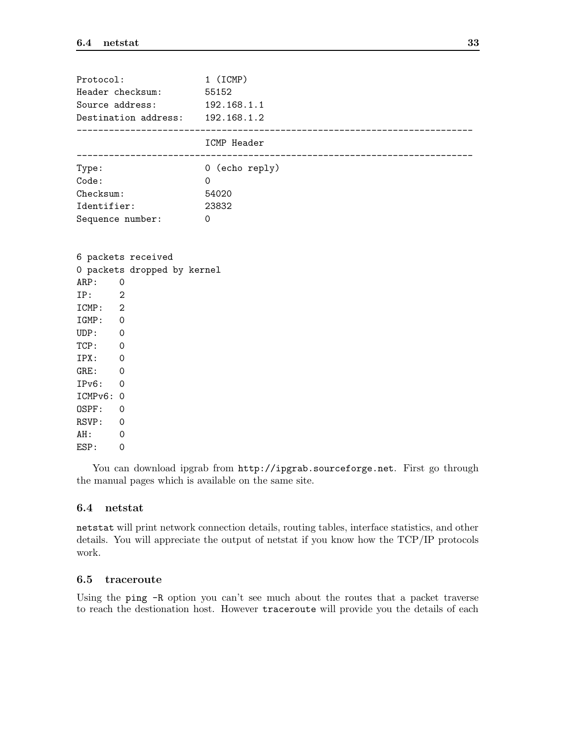| Protocol:<br>Header checksum: 55152<br>Source address: 192.168.1.1<br>Destination address: $192.168.1.2$                             | 1 (ICMP)       |
|--------------------------------------------------------------------------------------------------------------------------------------|----------------|
|                                                                                                                                      | ICMP Header    |
| Type:                                                                                                                                | 0 (echo reply) |
| Code:                                                                                                                                | $\Omega$       |
| Checksum:                                                                                                                            | 54020          |
| Identifier:                                                                                                                          | 23832          |
| Sequence number:                                                                                                                     | $\mathbf 0$    |
| 0 packets dropped by kernel<br>ARP: 0<br>IP: 2<br>ICMP: 2<br>IGMP: 0<br>UDP: 0<br>TCP: 0<br>IPX: 0<br>GRE: 0<br>IPv6: 0<br>ICMPv6: 0 |                |
| OSPF:<br>$\overline{0}$                                                                                                              |                |
| RSVP: 0                                                                                                                              |                |
| AH:<br>$\overline{0}$                                                                                                                |                |
| ESP:<br>$\Omega$                                                                                                                     |                |

You can download ipgrab from  $http://ipgrab.sourceforge.net$ . First go through the manual pages which is available on the same site.

## 6.4 netstat

netstat will print network connection details, routing tables, interface statistics, and other details. You will appreciate the output of netstat if you know how the TCP/IP protocols work.

# 6.5 traceroute

Using the ping -R option you can't see much about the routes that a packet traverse to reach the destionation host. However traceroute will provide you the details of each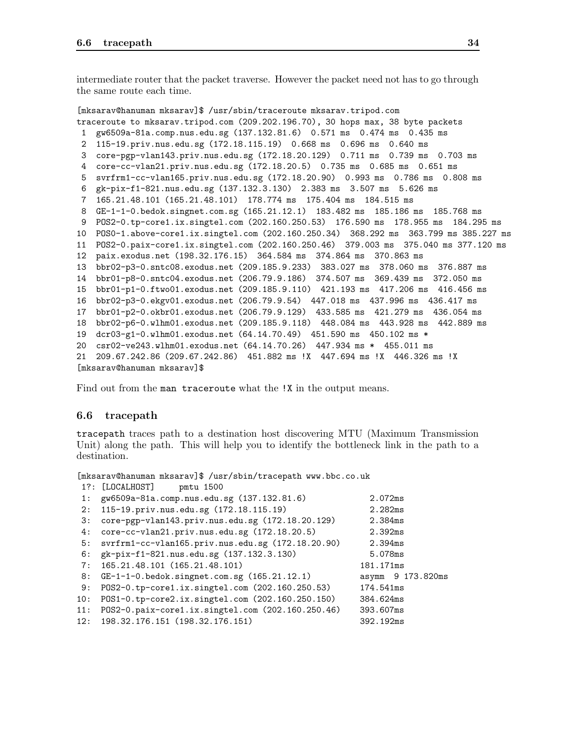intermediate router that the packet traverse. However the packet need not has to go through the same route each time.

```
[mksarav@hanuman mksarav]$ /usr/sbin/traceroute mksarav.tripod.com
traceroute to mksarav.tripod.com (209.202.196.70), 30 hops max, 38 byte packets
1 gw6509a-81a.comp.nus.edu.sg (137.132.81.6) 0.571 ms 0.474 ms 0.435 ms
2 115-19.priv.nus.edu.sg (172.18.115.19) 0.668 ms 0.696 ms 0.640 ms
3 core-pgp-vlan143.priv.nus.edu.sg (172.18.20.129) 0.711 ms 0.739 ms 0.703 ms
4 core-cc-vlan21.priv.nus.edu.sg (172.18.20.5) 0.735 ms 0.685 ms 0.651 ms
5 svrfrm1-cc-vlan165.priv.nus.edu.sg (172.18.20.90) 0.993 ms 0.786 ms 0.808 ms
6 gk-pix-f1-821.nus.edu.sg (137.132.3.130) 2.383 ms 3.507 ms 5.626 ms
7 165.21.48.101 (165.21.48.101) 178.774 ms 175.404 ms 184.515 ms
8 GE-1-1-0.bedok.singnet.com.sg (165.21.12.1) 183.482 ms 185.186 ms 185.768 ms
9 POS2-0.tp-core1.ix.singtel.com (202.160.250.53) 176.590 ms 178.955 ms 184.295 ms
10 POS0-1.above-core1.ix.singtel.com (202.160.250.34) 368.292 ms 363.799 ms 385.227 ms
11 POS2-0.paix-core1.ix.singtel.com (202.160.250.46) 379.003 ms 375.040 ms 377.120 ms
12 paix.exodus.net (198.32.176.15) 364.584 ms 374.864 ms 370.863 ms
13 bbr02-p3-0.sntc08.exodus.net (209.185.9.233) 383.027 ms 378.060 ms 376.887 ms
14 bbr01-p8-0.sntc04.exodus.net (206.79.9.186) 374.507 ms 369.439 ms 372.050 ms
15 bbr01-p1-0.ftwo01.exodus.net (209.185.9.110) 421.193 ms 417.206 ms 416.456 ms
16 bbr02-p3-0.ekgv01.exodus.net (206.79.9.54) 447.018 ms 437.996 ms 436.417 ms
17 bbr01-p2-0.okbr01.exodus.net (206.79.9.129) 433.585 ms 421.279 ms 436.054 ms
18 bbr02-p6-0.wlhm01.exodus.net (209.185.9.118) 448.084 ms 443.928 ms 442.889 ms
19 dcr03-g1-0.wlhm01.exodus.net (64.14.70.49) 451.590 ms 450.102 ms *
20 csr02-ve243.wlhm01.exodus.net (64.14.70.26) 447.934 ms * 455.011 ms
21 209.67.242.86 (209.67.242.86) 451.882 ms !X 447.694 ms !X 446.326 ms !X
[mksarav@hanuman mksarav]$
```
Find out from the man traceroute what the !X in the output means.

#### 6.6 tracepath

tracepath traces path to a destination host discovering MTU (Maximum Transmission Unit) along the path. This will help you to identify the bottleneck link in the path to a destination.

[mksarav@hanuman mksarav]\$ /usr/sbin/tracepath www.bbc.co.uk

|     | 1?: [LOCALHOST]<br>pmtu 1500                      |                   |
|-----|---------------------------------------------------|-------------------|
| 1:  | gw6509a-81a.comp.nus.edu.sg (137.132.81.6)        | 2.072ms           |
| 2:  | 115-19.priv.nus.edu.sg (172.18.115.19)            | 2.282ms           |
| 3:  | core-pgp-vlan143.priv.nus.edu.sg (172.18.20.129)  | 2.384ms           |
| 4 : | core-cc-vlan21.priv.nus.edu.sg (172.18.20.5)      | 2.392ms           |
| 5:  | svrfrm1-cc-vlan165.priv.nus.edu.sg (172.18.20.90) | 2.394ms           |
| 6:  | gk-pix-f1-821.nus.edu.sg (137.132.3.130)          | 5.078ms           |
| 7:  | 165.21.48.101 (165.21.48.101)                     | 181.171ms         |
| 8:  | $GE-1-1-0.$ bedok.singnet.com.sg $(165.21.12.1)$  | asymm 9 173.820ms |
| 9:  | P0S2-0.tp-core1.ix.singtel.com (202.160.250.53)   | 174.541ms         |
| 10: | POS1-0.tp-core2.ix.singtel.com (202.160.250.150)  | 384.624ms         |
| 11: | P0S2-0.paix-core1.ix.singtel.com (202.160.250.46) | 393.607ms         |
| 12: | 198.32.176.151 (198.32.176.151)                   | 392.192ms         |
|     |                                                   |                   |